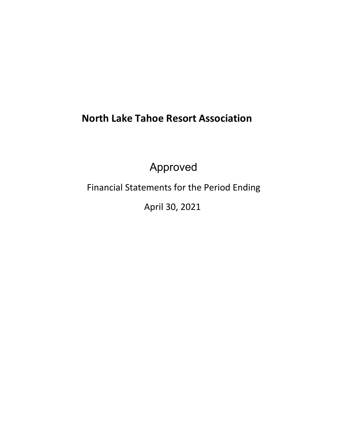# **North Lake Tahoe Resort Association**

Approved

Financial Statements for the Period Ending

April 30, 2021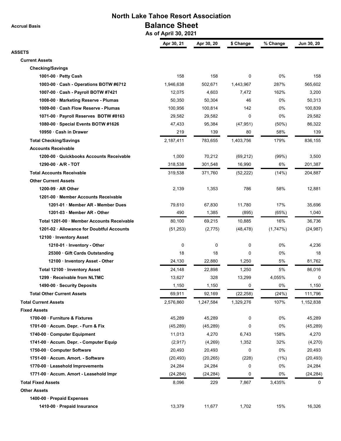**Accrual Basis**

## **North Lake Tahoe Resort Association Balance Sheet**

 **As of April 30, 2021**

|                                           | Apr 30, 21  | Apr 30, 20 | \$ Change | % Change | Jun 30, 20 |
|-------------------------------------------|-------------|------------|-----------|----------|------------|
| <b>ASSETS</b>                             |             |            |           |          |            |
| <b>Current Assets</b>                     |             |            |           |          |            |
| <b>Checking/Savings</b>                   |             |            |           |          |            |
| 1001-00 · Petty Cash                      | 158         | 158        | 0         | 0%       | 158        |
| 1003-00 · Cash - Operations BOTW #6712    | 1,946,638   | 502,671    | 1,443,967 | 287%     | 565,602    |
| 1007-00 · Cash - Payroll BOTW #7421       | 12,075      | 4,603      | 7,472     | 162%     | 3,200      |
| 1008-00 · Marketing Reserve - Plumas      | 50,350      | 50,304     | 46        | 0%       | 50,313     |
| 1009-00 · Cash Flow Reserve - Plumas      | 100,956     | 100,814    | 142       | 0%       | 100,839    |
| 1071-00 · Payroll Reserves BOTW #8163     | 29,582      | 29,582     | 0         | 0%       | 29,582     |
| 1080-00 · Special Events BOTW #1626       | 47,433      | 95,384     | (47, 951) | (50%)    | 86,322     |
| 10950 Cash in Drawer                      | 219         | 139        | 80        | 58%      | 139        |
| <b>Total Checking/Savings</b>             | 2,187,411   | 783,655    | 1,403,756 | 179%     | 836,155    |
| <b>Accounts Receivable</b>                |             |            |           |          |            |
| 1200-00 Quickbooks Accounts Receivable    | 1,000       | 70,212     | (69, 212) | (99%)    | 3,500      |
| 1290-00 - A/R - TOT                       | 318,538     | 301,548    | 16,990    | 6%       | 201,387    |
| <b>Total Accounts Receivable</b>          | 319,538     | 371,760    | (52, 222) | (14%)    | 204,887    |
| <b>Other Current Assets</b>               |             |            |           |          |            |
| 1200-99 AR Other                          | 2,139       | 1,353      | 786       | 58%      | 12,881     |
| 1201-00 Member Accounts Receivable        |             |            |           |          |            |
| 1201-01 Member AR - Member Dues           | 79,610      | 67,830     | 11,780    | 17%      | 35,696     |
| 1201-03 Member AR - Other                 | 490         | 1,385      | (895)     | (65%)    | 1,040      |
| Total 1201-00 Member Accounts Receivable  | 80,100      | 69,215     | 10,885    | 16%      | 36,736     |
| 1201-02 · Allowance for Doubtful Accounts | (51, 253)   | (2,775)    | (48, 478) | (1,747%) | (24, 987)  |
| 12100 · Inventory Asset                   |             |            |           |          |            |
| 1210-01 Inventory - Other                 | $\mathbf 0$ | 0          | 0         | 0%       | 4,236      |
| 25300 Gift Cards Outstanding              | 18          | 18         | 0         | 0%       | 18         |
| 12100 · Inventory Asset - Other           | 24,130      | 22,880     | 1,250     | 5%       | 81,762     |
| Total 12100 · Inventory Asset             | 24,148      | 22,898     | 1,250     | 5%       | 86,016     |
| 1299 Receivable from NLTMC                | 13,627      | 328        | 13,299    | 4,055%   | 0          |
| 1490-00 · Security Deposits               | 1,150       | 1,150      | 0         | 0%       | 1,150      |
| <b>Total Other Current Assets</b>         | 69,911      | 92,169     | (22, 258) | (24%)    | 111,796    |
| <b>Total Current Assets</b>               | 2,576,860   | 1,247,584  | 1,329,276 | 107%     | 1,152,838  |
| <b>Fixed Assets</b>                       |             |            |           |          |            |
| 1700-00 Furniture & Fixtures              | 45,289      | 45,289     | 0         | 0%       | 45,289     |
| 1701-00 Accum. Depr. - Furn & Fix         | (45, 289)   | (45, 289)  | 0         | 0%       | (45, 289)  |
| 1740-00 Computer Equipment                | 11,013      | 4,270      | 6,743     | 158%     | 4,270      |
| 1741-00 · Accum. Depr. - Computer Equip   | (2,917)     | (4,269)    | 1,352     | 32%      | (4,270)    |
| 1750-00 Computer Software                 | 20,493      | 20,493     | 0         | 0%       | 20,493     |
| 1751-00 Accum. Amort. - Software          | (20, 493)   | (20, 265)  | (228)     | (1%)     | (20, 493)  |
| 1770-00 · Leasehold Improvements          | 24,284      | 24,284     | 0         | 0%       | 24,284     |
| 1771-00 · Accum. Amort - Leasehold Impr   | (24, 284)   | (24, 284)  | 0         | 0%       | (24, 284)  |
| <b>Total Fixed Assets</b>                 | 8,096       | 229        | 7,867     | 3,435%   | 0          |
| <b>Other Assets</b>                       |             |            |           |          |            |
| 1400-00 · Prepaid Expenses                |             |            |           |          |            |
| 1410-00 · Prepaid Insurance               | 13,379      | 11,677     | 1,702     | 15%      | 16,326     |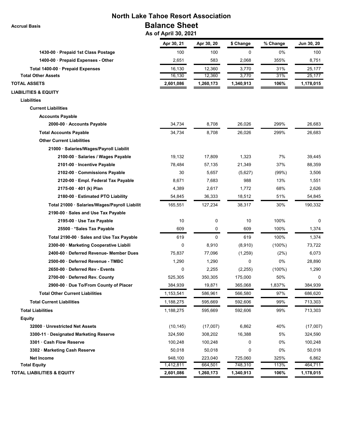**North Lake Tahoe Resort Association Balance Sheet**

 **As of April 30, 2021**

|                                               | Apr 30, 21 | Apr 30, 20 | \$ Change | % Change  | Jun 30, 20 |
|-----------------------------------------------|------------|------------|-----------|-----------|------------|
| 1430-00 · Prepaid 1st Class Postage           | 100        | 100        | 0         | 0%        | 100        |
| 1400-00 · Prepaid Expenses - Other            | 2,651      | 583        | 2,068     | 355%      | 8,751      |
| Total 1400-00 · Prepaid Expenses              | 16,130     | 12,360     | 3,770     | 31%       | 25,177     |
| <b>Total Other Assets</b>                     | 16,130     | 12,360     | 3,770     | 31%       | 25,177     |
| <b>TOTAL ASSETS</b>                           | 2,601,086  | 1,260,173  | 1,340,913 | 106%      | 1,178,015  |
| <b>LIABILITIES &amp; EQUITY</b>               |            |            |           |           |            |
| Liabilities                                   |            |            |           |           |            |
| <b>Current Liabilities</b>                    |            |            |           |           |            |
| <b>Accounts Payable</b>                       |            |            |           |           |            |
| 2000-00 Accounts Payable                      | 34,734     | 8,708      | 26,026    | 299%      | 26,683     |
| <b>Total Accounts Payable</b>                 | 34,734     | 8,708      | 26,026    | 299%      | 26,683     |
| <b>Other Current Liabilities</b>              |            |            |           |           |            |
| 21000 · Salaries/Wages/Payroll Liabilit       |            |            |           |           |            |
| 2100-00 · Salaries / Wages Payable            | 19,132     | 17,809     | 1,323     | 7%        | 39,445     |
| 2101-00 · Incentive Payable                   | 78,484     | 57,135     | 21,349    | 37%       | 88,359     |
| 2102-00 Commissions Payable                   | 30         | 5,657      | (5,627)   | (99%)     | 3,506      |
| 2120-00 · Empl. Federal Tax Payable           | 8,671      | 7,683      | 988       | 13%       | 1,551      |
| 2175-00 · 401 (k) Plan                        | 4,389      | 2,617      | 1,772     | 68%       | 2,626      |
| 2180-00 Estimated PTO Liability               | 54,845     | 36,333     | 18,512    | 51%       | 54,845     |
| Total 21000 · Salaries/Wages/Payroll Liabilit | 165,551    | 127,234    | 38,317    | 30%       | 190,332    |
| 2190-00 Sales and Use Tax Payable             |            |            |           |           |            |
| 2195-00 · Use Tax Payable                     | 10         | 0          | 10        | 100%      | 0          |
| 25500 * Sales Tax Payable                     | 609        | 0          | 609       | 100%      | 1,374      |
| Total 2190-00 · Sales and Use Tax Payable     | 619        | 0          | 619       | 100%      | 1,374      |
| 2300-00 · Marketing Cooperative Liabili       | 0          | 8,910      | (8,910)   | $(100\%)$ | 73,722     |
| 2400-60 Deferred Revenue- Member Dues         | 75,837     | 77,096     | (1,259)   | (2%)      | 6,073      |
| 2500-00 Deferred Revenue - TMBC               | 1,290      | 1,290      | 0         | 0%        | 28,890     |
| 2650-00 Deferred Rev - Events                 | 0          | 2,255      | (2, 255)  | $(100\%)$ | 1,290      |
| 2700-00 · Deferred Rev. County                | 525,305    | 350,305    | 175,000   | 50%       | 0          |
| 2900-00 · Due To/From County of Placer        | 384,939    | 19,871     | 365,068   | 1,837%    | 384.939    |
| <b>Total Other Current Liabilities</b>        | 1,153,541  | 586,961    | 566,580   | 97%       | 686,620    |
| <b>Total Current Liabilities</b>              | 1,188,275  | 595,669    | 592,606   | 99%       | 713,303    |
| <b>Total Liabilities</b>                      | 1,188,275  | 595,669    | 592,606   | 99%       | 713,303    |
| <b>Equity</b>                                 |            |            |           |           |            |
| 32000 Unrestricted Net Assets                 | (10, 145)  | (17,007)   | 6,862     | 40%       | (17,007)   |
| 3300-11 Designated Marketing Reserve          | 324,590    | 308,202    | 16,388    | 5%        | 324,590    |
| 3301 · Cash Flow Reserve                      | 100,248    | 100,248    | 0         | 0%        | 100,248    |
| 3302 · Marketing Cash Reserve                 | 50,018     | 50,018     | 0         | 0%        | 50,018     |
| <b>Net Income</b>                             | 948,100    | 223,040    | 725,060   | 325%      | 6,862      |
| <b>Total Equity</b>                           | 1,412,811  | 664,501    | 748,310   | 113%      | 464,711    |
| <b>TOTAL LIABILITIES &amp; EQUITY</b>         | 2,601,086  | 1,260,173  | 1,340,913 | 106%      | 1,178,015  |

 **Accrual Basis**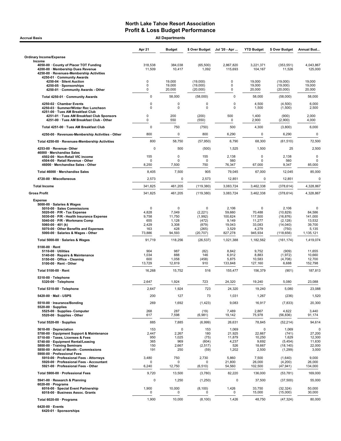| <b>Accrual Basis</b>                                                                                                                                                                                                                                                                  |                                                                | <b>All Departments</b>                                  |                                                                 |                                                                   |                                                                       |                                                                                 |                                                             |
|---------------------------------------------------------------------------------------------------------------------------------------------------------------------------------------------------------------------------------------------------------------------------------------|----------------------------------------------------------------|---------------------------------------------------------|-----------------------------------------------------------------|-------------------------------------------------------------------|-----------------------------------------------------------------------|---------------------------------------------------------------------------------|-------------------------------------------------------------|
|                                                                                                                                                                                                                                                                                       | Apr 21                                                         | <b>Budget</b>                                           | \$ Over Budget                                                  | Jul '20 - Apr                                                     | <b>YTD Budget</b>                                                     | \$ Over Budget                                                                  | Annual Bud                                                  |
| <b>Ordinary Income/Expense</b>                                                                                                                                                                                                                                                        |                                                                |                                                         |                                                                 |                                                                   |                                                                       |                                                                                 |                                                             |
| Income<br>4050-00 County of Placer TOT Funding<br>4200-00 · Membership Dues Revenue<br>4250-00 · Revenues-Membership Activities                                                                                                                                                       | 318,538<br>11,509                                              | 384,038<br>10,417                                       | (65, 500)<br>1,092                                              | 2,867,820<br>115,693                                              | 3,221,371<br>104,167                                                  | (353, 551)<br>11,526                                                            | 4,043,867<br>125,000                                        |
| 4250-01 · Community Awards<br>4250-04 · Silent Auction<br>4250-05 · Sponsorships                                                                                                                                                                                                      | $\mathsf 0$<br>0                                               | 19,000<br>19,000                                        | (19,000)<br>(19,000)                                            | $\pmb{0}$<br>$\pmb{0}$                                            | 19,000<br>19,000                                                      | (19,000)<br>(19,000)                                                            | 19,000<br>19,000                                            |
| 4250-01 Community Awards - Other                                                                                                                                                                                                                                                      | 0                                                              | 20,000                                                  | (20,000)                                                        | 0                                                                 | 20,000                                                                | (20,000)                                                                        | 20,000                                                      |
| Total 4250-01 · Community Awards                                                                                                                                                                                                                                                      | $\mathbf 0$                                                    | 58,000                                                  | (58,000)                                                        | $\mathbf 0$                                                       | 58,000                                                                | (58,000)                                                                        | 58,000                                                      |
| 4250-02 · Chamber Events<br>4250-03 · Summer/Winter Rec Luncheon<br>4251-00 · Tues AM Breakfast Club                                                                                                                                                                                  | 0<br>$\Omega$                                                  | 0<br>0                                                  | 0<br>$\Omega$                                                   | 0<br>$\Omega$                                                     | 4,500<br>1,500                                                        | (4,500)<br>(1,500)                                                              | 6,000<br>2,500                                              |
| 4251-01 · Tues AM Breakfast Club Sponsors<br>4251-00 · Tues AM Breakfast Club - Other                                                                                                                                                                                                 | 0<br>0                                                         | 200<br>550                                              | (200)<br>(550)                                                  | 500<br>0                                                          | 1,400<br>2,900                                                        | (900)<br>(2,900)                                                                | 2,000<br>4,000                                              |
| Total 4251-00 · Tues AM Breakfast Club                                                                                                                                                                                                                                                | $\mathbf 0$                                                    | 750                                                     | (750)                                                           | 500                                                               | 4,300                                                                 | (3,800)                                                                         | 6,000                                                       |
| 4250-00 · Revenues-Membership Activities - Other                                                                                                                                                                                                                                      | 800                                                            | 0                                                       | 800                                                             | 6,290                                                             | $\mathbf 0$                                                           | 6,290                                                                           | $\pmb{0}$                                                   |
| Total 4250-00 · Revenues-Membership Activities                                                                                                                                                                                                                                        | 800                                                            | 58,750                                                  | (57, 950)                                                       | 6,790                                                             | 68,300                                                                | (61, 510)                                                                       | 72,500                                                      |
| 4253-00 · Revenue-Other<br>46000 · Merchandise Sales                                                                                                                                                                                                                                  | 0                                                              | 500                                                     | (500)                                                           | 1,525                                                             | 1,500                                                                 | 25                                                                              | 2,500                                                       |
| 4502-00 · Non-Retail VIC income<br>4504-00 · Retail Revenue - Other<br>46000 · Merchandise Sales - Other                                                                                                                                                                              | 155<br>O<br>8,250                                              | 0<br>$\Omega$<br>7,500                                  | 155<br>$\Omega$<br>750                                          | 2,138<br>560<br>76,347                                            | 0<br>O<br>67,000                                                      | 2,138<br>560<br>9,347                                                           | 0<br><sup>0</sup><br>85,000                                 |
| Total 46000 · Merchandise Sales                                                                                                                                                                                                                                                       | 8,405                                                          | 7,500                                                   | 905                                                             | 79,045                                                            | 67,000                                                                | 12,045                                                                          | 85,000                                                      |
| 4720-00 · Miscellaneous                                                                                                                                                                                                                                                               | 2,573                                                          | 0                                                       | 2,573                                                           | 12,851                                                            | 0                                                                     | 12,851                                                                          |                                                             |
| <b>Total Income</b>                                                                                                                                                                                                                                                                   | 341,825                                                        | 461,205                                                 | (119, 380)                                                      | 3,083,724                                                         | 3,462,338                                                             | (378, 614)                                                                      | 4,328,867                                                   |
| <b>Gross Profit</b>                                                                                                                                                                                                                                                                   | 341,825                                                        | 461,205                                                 | (119, 380)                                                      | 3,083,724                                                         | 3,462,338                                                             | (378, 614)                                                                      | 4,328,867                                                   |
| <b>Expense</b>                                                                                                                                                                                                                                                                        |                                                                |                                                         |                                                                 |                                                                   |                                                                       |                                                                                 |                                                             |
| 5000-00 · Salaries & Wages<br>5010-00 · Sales Commissions<br>$5020.00 \cdot P/R$ - Tax Expense<br>5030-00 · P/R - Health Insurance Expense<br>5040-00 · P/R - Workmans Comp<br>5060-00 $\cdot$ 401 (k)<br>5070-00 · Other Benefits and Expenses<br>5000-00 · Salaries & Wages - Other | $\mathbf 0$<br>4,828<br>9,758<br>655<br>2,429<br>163<br>73,886 | 0<br>7,049<br>11,750<br>1,128<br>3,308<br>428<br>94,593 | 0<br>(2,221)<br>(1,992)<br>(472)<br>(879)<br>(265)<br>(20, 707) | 2,106<br>59,660<br>100,624<br>9,149<br>19,043<br>3,529<br>827,278 | $\Omega$<br>70,488<br>117,500<br>11,277<br>33,083<br>4,279<br>945,934 | 2,106<br>(10, 829)<br>(16, 876)<br>(2, 128)<br>(14, 040)<br>(750)<br>(118, 656) | 84,586<br>141,000<br>13,532<br>39,700<br>5,135<br>1,135,121 |
| Total 5000-00 · Salaries & Wages                                                                                                                                                                                                                                                      | 91,719                                                         | 118,256                                                 | (26, 537)                                                       | 1,021,388                                                         | 1,182,562                                                             | (161, 174)                                                                      | 1,419,074                                                   |
| $5100-00 \cdot$ Rent<br>$5110-00 \cdot$ Utilities<br>5140-00 · Repairs & Maintenance<br>5150-00 · Office - Cleaning<br>5100-00 · Rent - Other                                                                                                                                         | 904<br>1,034<br>600<br>13,729                                  | 987<br>888<br>1,058<br>12,819                           | (82)<br>146<br>(458)<br>910                                     | 8,842<br>6,912<br>5,875<br>133,848                                | 9,752<br>8,883<br>10,583<br>127,160                                   | (909)<br>(1, 972)<br>(4,708)<br>6,688                                           | 11,655<br>10,660<br>12,700<br>152,798                       |
| Total 5100-00 · Rent                                                                                                                                                                                                                                                                  | 16,268                                                         | 15,752                                                  | 516                                                             | 155.477                                                           | 156,379                                                               | (901)                                                                           | 187,813                                                     |
| 5310-00 · Telephone<br>5320-00 · Telephone                                                                                                                                                                                                                                            | 2,647                                                          | 1,924                                                   | 723                                                             | 24,320                                                            | 19,240                                                                | 5,080                                                                           | 23,088                                                      |
| Total 5310-00 · Telephone                                                                                                                                                                                                                                                             | 2,647                                                          | 1,924                                                   | 723                                                             | 24,320                                                            | 19,240                                                                | 5,080                                                                           | 23,088                                                      |
| 5420-00 · Mail - USPS                                                                                                                                                                                                                                                                 | 200                                                            | 127                                                     | 73                                                              | 1,031                                                             | 1,267                                                                 | (236)                                                                           | 1,520                                                       |
| 5510-00 · Insurance/Bonding<br>$5520-00 \cdot$ Supplies                                                                                                                                                                                                                               | 269                                                            | 1,692                                                   | (1, 423)                                                        | 9,083                                                             | 16,917                                                                | (7, 833)                                                                        | 20,300                                                      |
| 5525-00 · Supplies- Computer<br>5520-00 · Supplies - Other                                                                                                                                                                                                                            | 268<br>617                                                     | 287<br>7,598                                            | (19)<br>(6,981)                                                 | 7,489<br>19,142                                                   | 2,867<br>75,978                                                       | 4,622<br>(56, 836)                                                              | 3,440<br>91,174                                             |
| Total 5520-00 · Supplies                                                                                                                                                                                                                                                              | 885                                                            | 7,885                                                   | (6,999)                                                         | 26,631                                                            | 78,845                                                                | (52, 214)                                                                       | 94,614                                                      |
| 5610-00 · Depreciation<br>5700-00 · Equipment Support & Maintenance<br>5710-00 · Taxes, Licenses & Fees<br>5740-00 · Equipment Rental/Leasing                                                                                                                                         | 153<br>2,447<br>950<br>365                                     | $\mathbf 0$<br>2,267<br>1,025<br>969                    | 153<br>180<br>(75)<br>(604)                                     | 1,069<br>21,925<br>11,879<br>4,237                                | 0<br>22,667<br>10,250<br>9,692                                        | 1,069<br>(741)<br>1,629<br>(5, 454)                                             | 27,200<br>12,300<br>11,630                                  |
| 5800-00 · Training Seminars<br>5850-00 · Artist of Month - Commissions<br>5900-00 · Professional Fees<br>5910-00 · Professional Fees - Attorneys                                                                                                                                      | 150<br>191<br>3,480                                            | 2,667<br>250<br>750                                     | (2, 517)<br>(59)<br>2,730                                       | 526<br>1,202<br>5,860                                             | 18,667<br>2,500<br>7,500                                              | (18, 140)<br>(1,299)<br>(1,640)                                                 | 22,000<br>3,000<br>9,000                                    |
| 5920-00 · Professional Fees - Accountant<br>5921-00 · Professional Fees - Other                                                                                                                                                                                                       | O<br>6,240                                                     | $\Omega$<br>12,750                                      | (6, 510)                                                        | 21,800<br>54,560                                                  | 26,000<br>102,500                                                     | (4,200)<br>(47, 941)                                                            | 26,000<br>134,000                                           |
| Total 5900-00 · Professional Fees                                                                                                                                                                                                                                                     | 9,720                                                          | 13,500                                                  | (3,780)                                                         | 82,220                                                            | 136,000                                                               | (53, 781)                                                                       | 169,000                                                     |
| 5941-00 · Research & Planning<br>$6020-00 \cdot$ Programs<br>6016-00 · Special Event Partnership                                                                                                                                                                                      | 0<br>1,900                                                     | 1,250<br>10,000                                         | (1,250)<br>(8, 100)                                             | 0<br>1,426                                                        | 37,500<br>33,750                                                      | (37,500)<br>(32, 324)                                                           | 55,000<br>50,000                                            |
| 6018-00 · Business Assoc. Grants                                                                                                                                                                                                                                                      | 0                                                              | 0                                                       |                                                                 | 0                                                                 | 15,000                                                                | (15,000)                                                                        | 30,000                                                      |
| Total 6020-00 · Programs                                                                                                                                                                                                                                                              | 1,900                                                          | 10,000                                                  | (8, 100)                                                        | 1,426                                                             | 48,750                                                                | (47, 324)                                                                       | 80,000                                                      |

6420-00 · Events 6420-01 · Sponsorships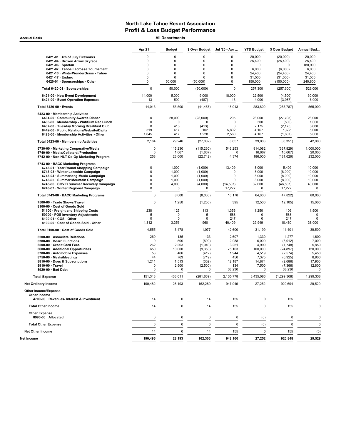Accrual Basis **Accrual Basis All Departments** 

|                                                                                      | Apr 21                     | <b>Budget</b>        | \$ Over Budget | Jul '20 - Apr         | <b>YTD Budget</b>    | \$ Over Budget     | Annual Bud            |
|--------------------------------------------------------------------------------------|----------------------------|----------------------|----------------|-----------------------|----------------------|--------------------|-----------------------|
| 6421-01 · 4th of July Fireworks                                                      | 0                          | $\mathbf 0$          | 0              | 0                     | 20,000               | (20,000)           | 20,000                |
| 6421-04 · Broken Arrow Skyrace                                                       | 0                          | $\mathbf 0$          | $\mathbf 0$    | $\pmb{0}$             | 25,400               | (25, 400)          | 25,400                |
| $6421-06 \cdot$ Spartan                                                              | 0                          | 0                    | 0              | 0                     | 0                    | $\mathbf 0$        | 180.900               |
| 6421-07 · Tahoe Lacrosse Tournament                                                  | $\Omega$                   | $\Omega$             | $\mathbf 0$    | $\Omega$              | 6,000                | (6,000)            | 6,000                 |
| 6421-10 · WinterWonderGrass - Tahoe                                                  | 0                          | $\mathbf 0$          | $\mathbf 0$    | 0                     | 24,400               | (24, 400)          | 24,400                |
| 6421-17 · Enduro                                                                     | 0                          | $\mathbf 0$          | 0              | $\pmb{0}$             | 31,500               | (31,500)           | 31,500                |
| 6420-01 · Sponsorships - Other                                                       | 0                          | 50,000               | (50,000)       | 0                     | 150,000              | (150,000)          | 240,800               |
| Total 6420-01 · Sponsorships                                                         | $\mathbf 0$                | 50,000               | (50,000)       | $\mathbf 0$           | 257,300              | (257, 300)         | 529,000               |
| 6421-00 · New Event Development<br>6424-00 · Event Operation Expenses                | 14,000<br>13               | 5,000<br>500         | 9,000<br>(487) | 18,000<br>13          | 22,500<br>4,000      | (4,500)<br>(3,987) | 30,000<br>6,000       |
| Total 6420-00 · Events                                                               | 14,013                     | 55,500               | (41, 487)      | 18,013                | 283,800              | (265, 787)         | 565,000               |
| 6423-00 · Membership Activities                                                      |                            |                      |                |                       |                      |                    |                       |
| 6434-00 · Community Awards Dinner                                                    | $\mathsf 0$                | 28,000               | (28,000)       | 295                   | 28,000               | (27, 705)          | 28,000                |
| 6436-00 · Membership - Wnt/Sum Rec Lunch                                             | $\mathsf 0$                | 0                    | ŋ              | 0                     | 500                  | (500)              | 1,000                 |
| 6437-00 · Tuesday Morning Breakfast Club                                             | $\mathbf 0$                | 413                  | (413)          | $\mathbf 0$           | 2,175                | (2, 175)           | 3,000                 |
| 6442-00 · Public Relations/Website/Digita<br>6423-00 · Membership Activities - Other | 519<br>1,645               | 417<br>417           | 102<br>1,228   | 5,802<br>2,560        | 4,167<br>4,167       | 1,635<br>(1,607)   | 5,000<br>5,000        |
| Total 6423-00 · Membership Activities                                                | 2,164                      | 29,246               | (27,082)       | 8,657                 | 39,008               | (30, 351)          | 42,000                |
| 6730-00 · Marketing Cooperative/Media                                                | 0                          | 115,230              | (115, 230)     | 546,253               | 914,082              | (367, 829)         | 1,000,000             |
| 6740-00 · Media/Collateral/Production                                                | 0                          | 1,667                | (1,667)        | $\Omega$              | 16,667               | (16, 667)          | 20,000                |
| 6742-00 · Non-NLT Co-Op Marketing Program                                            | 258                        | 23,000               | (22, 742)      | 4,374                 | 186,000              | (181, 626)         | 232,000               |
| 6743-00 · BACC Marketing Programs                                                    |                            |                      |                |                       |                      |                    |                       |
| 6743-01 · Year Round Shopping Campaign                                               | $\mathbf 0$                | 1,000                | (1,000)        | 13,409                | 8,000                | 5,409              | 10,000                |
| 6743-03 · Winter Lakeside Campaign                                                   | 0                          | 1,000                | (1,000)        | $\Omega$              | 8,000                | (8,000)            | 10,000                |
| 6743-04 · Summerlong Music Campaign                                                  | $\mathbf 0$                | 1,000                | (1,000)        | $\mathbf 0$           | 8,000                | (8,000)            | 10,000                |
| 6743-05 · Summer Mountain Campaign                                                   | $\mathbf 0$<br>$\mathbf 0$ | 1,000<br>4,000       | (1,000)        | $\Omega$<br>(14, 507) | 8,000<br>32,000      | (8,000)            | 10,000<br>40,000      |
| 6743-06 · COVID Summer Recovery Campaign<br>6743-07 · Winter Regional Campaign       | $\mathsf{O}\xspace$        | 0                    | (4,000)<br>0   | 17,277                | 0                    | (46,507)<br>17,277 | $\mathbf 0$           |
| Total 6743-00 · BACC Marketing Programs                                              | $\mathbf 0$                | 8,000                | (8,000)        | 16,178                | 64,000               | (47, 822)          | 80,000                |
| 7500-00 · Trade Shows/Travel                                                         | $\mathbf 0$                | 1,250                | (1,250)        | 395                   | 12,500               | (12, 105)          | 15,000                |
| 8100-00 Cost of Goods Sold<br>51100 · Freight and Shipping Costs                     | 238                        | 125                  | 113            | 1,356                 | 1,250                | 106                | 1,500                 |
| 59900 · POS Inventory Adjustments                                                    | 5                          | 0                    | 5              | 588                   | $\mathbf 0$          | 588                | $\mathbf 0$           |
| 8100-01 · CGS - Other                                                                | 0                          | 0                    | 0              | 247                   | 0                    | 247                | 0                     |
| 8100-00 · Cost of Goods Sold - Other                                                 | 4,312                      | 3,353                | 960            | 40,409                | 29,949               | 10,460             | 38,000                |
| Total 8100-00 · Cost of Goods Sold                                                   | 4,555                      | 3,478                | 1,077          | 42,600                | 31,199               | 11,401             | 39,500                |
| 8200-00 · Associate Relations                                                        | 269                        | 135                  | 133            | 2,607                 | 1,330                | 1,277              | 1,600                 |
| 8300-00 · Board Functions                                                            | $\mathbf 0$                | 500                  | (500)          | 2,988                 | 6,000                | (3,012)            | 7,000                 |
| 8500-00 Credit Card Fees                                                             | 262                        | 2,203                | (1,940)        | 3,251                 | 4,999                | (1,748)            | 5,850                 |
| 8600-00 · Additional Opportunites                                                    | 650                        | 10,000               | (9,350)        | 75,103                | 100,000              | (24, 897)          | 120,000               |
| 8700-00 · Automobile Expenses                                                        | 53                         | 466                  | (412)          | 1,944                 | 4,519                | (2,574)            | 5,450                 |
| 8750-00 · Meals/Meetings                                                             | 44                         | 763                  | (719)          | 450                   | 7,375                | (6,925)            | 8,900                 |
| 8810-00 · Dues & Subscriptions<br>8910-00 · Travel                                   | 1,211                      | 1,513                | (302)          | 12,187                | 14,874               | (2,686)            | 17,900                |
| 8920-00 · Bad Debt                                                                   | 0<br>0                     | 2,500<br>$\mathbf 0$ | (2,500)<br>0   | 134<br>38,230         | 7,500<br>$\mathbf 0$ | (7, 366)<br>38,230 | 12,600<br>$\mathbf 0$ |
| <b>Total Expense</b>                                                                 | 151,343                    | 433,011              | (281, 669)     | 2,135,778             | 3,435,086            | (1, 299, 308)      | 4,299,338             |
| <b>Net Ordinary Income</b>                                                           | 190,482                    | 28,193               | 162,289        | 947,946               | 27,252               | 920,694            | 29,529                |
| <b>Other Income/Expense</b>                                                          |                            |                      |                |                       |                      |                    |                       |
| Other Income<br>4700-00 · Revenues- Interest & Investment                            | 14                         | $\pmb{0}$            | 14             | 155                   | $\mathbf 0$          | 155                | 0                     |
| <b>Total Other Income</b>                                                            | 14                         | $\mathbf 0$          | 14             | 155                   | $\mathbf 0$          | 155                | $\mathbf 0$           |
| <b>Other Expense</b><br>8990-00 · Allocated                                          | 0                          | $\pmb{0}$            | 0              | 0                     | (0)                  | 0                  | 0                     |
| <b>Total Other Expense</b>                                                           | 0                          | $\pmb{0}$            | 0              | 0                     | (0)                  | $\pmb{0}$          | $\mathbf 0$           |
| <b>Net Other Income</b>                                                              | 14                         | $\pmb{0}$            | 14             | 155                   | 0                    | 155                | (0)                   |
| Net Income                                                                           | 190,496                    | 28,193               | 162,303        | 948,100               | 27,252               | 920,848            | 29,529                |
|                                                                                      |                            |                      |                |                       |                      |                    |                       |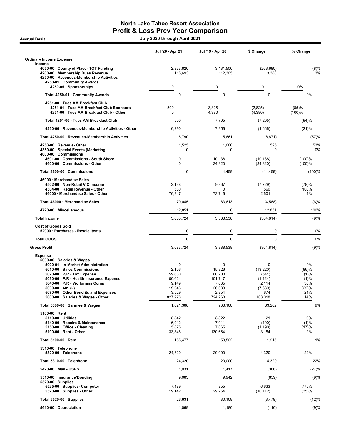## North Lake Tahoe Resort Association Profit & Loss Prev Year Comparison

Accrual Basis July 2020 through April 2021

|                                                                                                                                                                                                                                                                                                                                         | Jul '20 - Apr 21                                                                 | Jul '19 - Apr 20                                                        | \$ Change                                                                        | % Change                                                  |
|-----------------------------------------------------------------------------------------------------------------------------------------------------------------------------------------------------------------------------------------------------------------------------------------------------------------------------------------|----------------------------------------------------------------------------------|-------------------------------------------------------------------------|----------------------------------------------------------------------------------|-----------------------------------------------------------|
| <b>Ordinary Income/Expense</b><br>Income                                                                                                                                                                                                                                                                                                |                                                                                  |                                                                         |                                                                                  |                                                           |
| 4050-00 · County of Placer TOT Funding<br>4200-00 · Membership Dues Revenue<br>4250-00 · Revenues-Membership Activities<br>4250-01 · Community Awards                                                                                                                                                                                   | 2,867,820<br>115,693                                                             | 3,131,500<br>112,305                                                    | (263, 680)<br>3,388                                                              | (8)%<br>3%                                                |
| 4250-05 · Sponsorships                                                                                                                                                                                                                                                                                                                  | 0                                                                                | $\mathbf 0$                                                             | $\mathbf 0$                                                                      | 0%                                                        |
| Total 4250-01 · Community Awards                                                                                                                                                                                                                                                                                                        | $\mathbf 0$                                                                      | 0                                                                       | $\mathbf 0$                                                                      | $0\%$                                                     |
| 4251-00 · Tues AM Breakfast Club<br>4251-01 · Tues AM Breakfast Club Sponsors<br>4251-00 · Tues AM Breakfast Club - Other                                                                                                                                                                                                               | 500<br>$\mathbf 0$                                                               | 3,325<br>4,380                                                          | (2,825)<br>(4, 380)                                                              | (85)%<br>(100)%                                           |
| Total 4251-00 · Tues AM Breakfast Club                                                                                                                                                                                                                                                                                                  | 500                                                                              | 7,705                                                                   | (7,205)                                                                          | (94)%                                                     |
| 4250-00 · Revenues-Membership Activities - Other                                                                                                                                                                                                                                                                                        | 6,290                                                                            | 7,956                                                                   | (1,666)                                                                          | (21)%                                                     |
| Total 4250-00 · Revenues-Membership Activities                                                                                                                                                                                                                                                                                          | 6,790                                                                            | 15,661                                                                  | (8, 871)                                                                         | (57)%                                                     |
| 4253-00 · Revenue- Other<br>4350-00 · Special Events (Marketing)<br>4600-00 · Commissions                                                                                                                                                                                                                                               | 1,525<br>0                                                                       | 1,000<br>$\Omega$                                                       | 525<br>$\Omega$                                                                  | 53%<br>0%                                                 |
| 4601-00 · Commissions - South Shore<br>4600-00 · Commissions - Other                                                                                                                                                                                                                                                                    | $\mathbf 0$<br>$\mathbf 0$                                                       | 10,138<br>34,320                                                        | (10.138)<br>(34, 320)                                                            | (100)%<br>(100)%                                          |
| Total 4600-00 · Commissions                                                                                                                                                                                                                                                                                                             | $\mathbf 0$                                                                      | 44,459                                                                  | (44, 459)                                                                        | (100)%                                                    |
| 46000 · Merchandise Sales<br>4502-00 · Non-Retail VIC income<br>4504-00 · Retail Revenue - Other<br>46000 · Merchandise Sales - Other                                                                                                                                                                                                   | 2,138<br>560<br>76,347                                                           | 9.867<br>0<br>73,746                                                    | (7, 729)<br>560<br>2,601                                                         | (78)%<br>100%<br>4%                                       |
| Total 46000 · Merchandise Sales                                                                                                                                                                                                                                                                                                         | 79,045                                                                           | 83,613                                                                  | (4, 568)                                                                         | (6)%                                                      |
| 4720-00 · Miscellaneous                                                                                                                                                                                                                                                                                                                 | 12,851                                                                           | 0                                                                       | 12,851                                                                           | 100%                                                      |
| <b>Total Income</b>                                                                                                                                                                                                                                                                                                                     | 3,083,724                                                                        | 3,388,538                                                               | (304, 814)                                                                       | (9)%                                                      |
| <b>Cost of Goods Sold</b>                                                                                                                                                                                                                                                                                                               |                                                                                  |                                                                         |                                                                                  |                                                           |
| 52900 · Purchases - Resale Items                                                                                                                                                                                                                                                                                                        | 0                                                                                | $\pmb{0}$                                                               | 0                                                                                | 0%                                                        |
| <b>Total COGS</b>                                                                                                                                                                                                                                                                                                                       | $\mathbf 0$                                                                      | $\pmb{0}$                                                               | $\mathbf 0$                                                                      | 0%                                                        |
| <b>Gross Profit</b>                                                                                                                                                                                                                                                                                                                     | 3,083,724                                                                        | 3,388,538                                                               | (304, 814)                                                                       | (9)%                                                      |
| <b>Expense</b><br>5000-00 · Salaries & Wages<br>5000-01 · In-Market Administration<br>5010-00 · Sales Commissions<br>5020-00 · P/R - Tax Expense<br>5030-00 · P/R - Health Insurance Expense<br>5040-00 · P/R - Workmans Comp<br>5060-00 $\cdot$ 401 (k)<br>5070-00 · Other Benefits and Expenses<br>5000-00 · Salaries & Wages - Other | $\mathbf 0$<br>2,106<br>59,660<br>100,624<br>9,149<br>19,043<br>3,529<br>827,278 | 0<br>15,326<br>60,200<br>101.747<br>7,035<br>26,683<br>2,854<br>724,260 | $\Omega$<br>(13, 220)<br>(541)<br>(1, 124)<br>2,114<br>(7,639)<br>674<br>103,018 | 0%<br>(86)%<br>(1)%<br>(1)%<br>30%<br>(29)%<br>24%<br>14% |
| Total 5000-00 · Salaries & Wages                                                                                                                                                                                                                                                                                                        | 1,021,388                                                                        | 938,106                                                                 | 83,282                                                                           | 9%                                                        |
| $5100-00 \cdot$ Rent<br>$5110-00 \cdot$ Utilities<br>5140-00 · Repairs & Maintenance<br>5150-00 · Office - Cleaning<br>5100-00 · Rent - Other                                                                                                                                                                                           | 8,842<br>6,912<br>5,875<br>133,848                                               | 8,822<br>7,011<br>7,065<br>130,664                                      | 21<br>(100)<br>(1, 190)<br>3,184                                                 | 0%<br>(1)%<br>(17)%<br>2%                                 |
| Total 5100-00 · Rent                                                                                                                                                                                                                                                                                                                    | 155,477                                                                          | 153,562                                                                 | 1,915                                                                            | 1%                                                        |
| 5310-00 · Telephone<br>5320-00 · Telephone                                                                                                                                                                                                                                                                                              | 24,320                                                                           | 20,000                                                                  | 4,320                                                                            | 22%                                                       |
| Total 5310-00 · Telephone                                                                                                                                                                                                                                                                                                               | 24,320                                                                           | 20,000                                                                  | 4,320                                                                            | 22%                                                       |
| 5420-00 · Mail - USPS                                                                                                                                                                                                                                                                                                                   | 1,031                                                                            | 1,417                                                                   | (386)                                                                            | (27)%                                                     |
| 5510-00 · Insurance/Bonding                                                                                                                                                                                                                                                                                                             | 9,083                                                                            | 9,942                                                                   | (859)                                                                            | (9)%                                                      |
| $5520-00 \cdot$ Supplies<br>5525-00 · Supplies- Computer<br>5520-00 · Supplies - Other                                                                                                                                                                                                                                                  | 7,489<br>19,142                                                                  | 855<br>29,254                                                           | 6,633<br>(10, 112)                                                               | 775%<br>(35)%                                             |
| Total 5520-00 $\cdot$ Supplies                                                                                                                                                                                                                                                                                                          | 26,631                                                                           | 30,109                                                                  | (3, 478)                                                                         | (12)%                                                     |
| 5610-00 · Depreciation                                                                                                                                                                                                                                                                                                                  | 1,069                                                                            | 1,180                                                                   | (110)                                                                            | (9)%                                                      |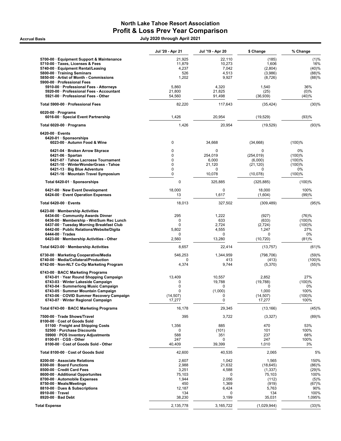### North Lake Tahoe Resort Association Profit & Loss Prev Year Comparison Accrual Basis July 2020 through April 2021

|                                                                             | Jul '20 - Apr 21 | Jul '19 - Apr 20      | \$ Change             | % Change      |
|-----------------------------------------------------------------------------|------------------|-----------------------|-----------------------|---------------|
| 5700-00 · Equipment Support & Maintenance                                   | 21,925           | 22,110                | (185)                 | (1)%          |
| 5710-00 · Taxes, Licenses & Fees                                            | 11,879           | 10,273                | 1,606                 | 16%           |
| 5740-00 · Equipment Rental/Leasing                                          | 4,237            | 7,042                 | (2,804)               | (40)%         |
| 5800-00 · Training Seminars                                                 | 526              | 4,513                 | (3,986)               | (88)%         |
| 5850-00 · Artist of Month - Commissions<br>5900-00 · Professional Fees      | 1,202            | 9,927                 | (8, 726)              | (88)%         |
| 5910-00 · Professional Fees - Attorneys                                     | 5,860            | 4,320                 | 1,540                 | 36%           |
| 5920-00 · Professional Fees - Accountant                                    | 21,800           | 21,825                | (25)                  | $(0)\%$       |
| 5921-00 · Professional Fees - Other                                         | 54,560           | 91,498                | (36,939)              | (40)%         |
| Total 5900-00 · Professional Fees                                           | 82,220           | 117,643               | (35, 424)             | (30)%         |
| $6020-00 \cdot$ Programs<br>6016-00 · Special Event Partnership             | 1,426            | 20,954                | (19, 529)             | (93)%         |
| Total 6020-00 · Programs                                                    | 1,426            | 20,954                | (19, 529)             | (93)%         |
| $6420-00 \cdot$ Events                                                      |                  |                       |                       |               |
| 6420-01 · Sponsorships<br>6023-00 · Autumn Food & Wine                      | 0                | 34,668                | (34, 668)             | (100)%        |
| 6421-04 · Broken Arrow Skyrace                                              | 0                | $\Omega$              | $\Omega$              | 0%            |
| $6421-06 \cdot$ Spartan                                                     | 0                | 254,019               | (254, 019)            | (100)%        |
| 6421-07 · Tahoe Lacrosse Tournament                                         | 0                | 6,000                 | (6,000)               | (100)%        |
| 6421-10 · WinterWonderGrass - Tahoe                                         | 0                | 21,120                | (21, 120)             | (100)%        |
| 6421-13 · Big Blue Adventure<br>6421-16 · Mountain Travel Symposium         | 0<br>0           | 0<br>10,078           | 0<br>(10,078)         | 0%<br>(100)%  |
| Total 6420-01 · Sponsorships                                                | 0                | 325,885               | (325, 885)            | (100)%        |
| 6421-00 · New Event Development<br>6424-00 · Event Operation Expenses       | 18,000<br>13     | $\mathbf 0$<br>1,617  | 18,000<br>(1,604)     | 100%<br>(99)% |
| Total 6420-00 · Events                                                      | 18,013           | 327,502               | (309, 489)            | (95)%         |
| 6423-00 · Membership Activities                                             |                  |                       |                       |               |
| 6434-00 Community Awards Dinner                                             | 295              | 1,222                 | (927)                 | (76)%         |
| 6436-00 · Membership - Wnt/Sum Rec Lunch                                    | 0                | 633                   | (633)                 | (100)%        |
| 6437-00 · Tuesday Morning Breakfast Club                                    | $\mathbf 0$      | 2,724                 | (2,724)               | (100)%        |
| 6442-00 · Public Relations/Website/Digita                                   | 5,802            | 4,555                 | 1,247                 | 27%           |
| $6444-00 \cdot Trades$<br>6423-00 · Membership Activities - Other           | 0<br>2,560       | $\mathbf 0$<br>13,280 | 0<br>(10, 720)        | 0%<br>(81)%   |
| Total 6423-00 · Membership Activities                                       | 8,657            | 22,414                | (13, 757)             | (61)%         |
| 6730-00 · Marketing Cooperative/Media                                       | 546,253          | 1,344,959             | (798, 706)            | (59)%         |
| 6740-00 · Media/Collateral/Production                                       | 0                | 413                   | (413)                 | (100)%        |
| 6742-00 · Non-NLT Co-Op Marketing Program                                   | 4,374            | 9,744                 | (5,370)               | (55)%         |
| 6743-00 · BACC Marketing Programs<br>6743-01 · Year Round Shopping Campaign | 13,409           | 10,557                | 2,852                 | 27%           |
| 6743-03 · Winter Lakeside Campaign                                          | 0                | 19,788                | (19,788)              | (100)%        |
| 6743-04 · Summerlong Music Campaign                                         | $\mathbf 0$      | 0                     | 0                     | $0\%$         |
| 6743-05 · Summer Mountain Campaign                                          | 0                | (1,000)               | 1,000                 | 100%          |
| 6743-06 · COVID Summer Recovery Campaign                                    | (14, 507)        | 0                     | (14, 507)             | (100)%        |
| 6743-07 · Winter Regional Campaign                                          | 17,277           | 0                     | 17,277                | 100%          |
| Total 6743-00 · BACC Marketing Programs                                     | 16,178           | 29,345                | (13, 166)             | (45)%         |
| 7500-00 · Trade Shows/Travel<br>8100-00 · Cost of Goods Sold                | 395              | 3,722                 | (3,327)               | (89)%         |
| 51100 · Freight and Shipping Costs                                          | 1,356            | 885                   | 470                   | 53%           |
| 52500 · Purchase Discounts                                                  | 0                | (101)                 | 101                   | 100%          |
| 59900 · POS Inventory Adjustments                                           | 588              | 351                   | 237                   | 68%           |
| 8100-01 · CGS - Other                                                       | 247              | $\mathbf 0$           | 247                   | 100%          |
| 8100-00 · Cost of Goods Sold - Other                                        | 40,409           | 39,399                | 1,010                 | 3%            |
| Total 8100-00 · Cost of Goods Sold                                          | 42,600           | 40,535                | 2,065                 | 5%            |
| 8200-00 · Associate Relations<br>8300-00 · Board Functions                  | 2,607            | 1,042<br>21,632       | 1,565                 | 150%<br>(86)% |
| 8500-00 Credit Card Fees                                                    | 2,988<br>3,251   | 4,588                 | (18, 645)<br>(1, 337) | (29)%         |
| 8600-00 · Additional Opportunites                                           | 75,103           | 0                     | 75,103                | 100%          |
| 8700-00 · Automobile Expenses                                               | 1,944            | 2,056                 | (112)                 | (5)%          |
| 8750-00 · Meals/Meetings                                                    | 450              | 1,369                 | (919)                 | (67)%         |
| 8810-00 · Dues & Subscriptions                                              | 12,187           | 6,424                 | 5,763                 | 90%           |
| 8910-00 · Travel                                                            | 134              | 0                     | 134                   | 100%          |
| 8920-00 · Bad Debt                                                          | 38,230           | 3,199                 | 35,031                | 1,095%        |
| <b>Total Expense</b>                                                        | 2,135,778        | 3,165,722             | (1,029,944)           | (33)%         |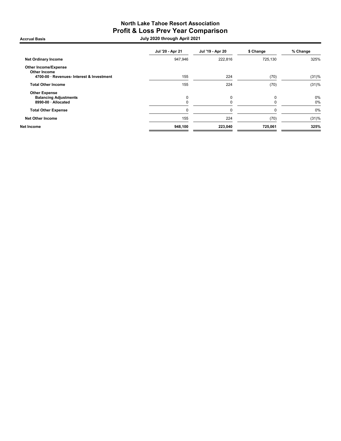### North Lake Tahoe Resort Association Profit & Loss Prev Year Comparison Accrual Basis July 2020 through April 2021

|                                                    | Jul '20 - Apr 21 | Jul '19 - Apr 20 | \$ Change | % Change |
|----------------------------------------------------|------------------|------------------|-----------|----------|
| <b>Net Ordinary Income</b>                         | 947,946          | 222,816          | 725,130   | 325%     |
| <b>Other Income/Expense</b><br><b>Other Income</b> |                  |                  |           |          |
| 4700-00 · Revenues- Interest & Investment          | 155              | 224              | (70)      | (31)%    |
| <b>Total Other Income</b>                          | 155              | 224              | (70)      | (31)%    |
| <b>Other Expense</b>                               |                  |                  |           |          |
| <b>Balancing Adjustments</b>                       | 0                | 0                | $\Omega$  | 0%       |
| 8990-00 · Allocated                                |                  |                  |           | 0%       |
| <b>Total Other Expense</b>                         |                  | $\Omega$         |           | 0%       |
| <b>Net Other Income</b>                            | 155              | 224              | (70)      | (31)%    |
| Net Income                                         | 948,100          | 223,040          | 725,061   | 325%     |
|                                                    |                  |                  |           |          |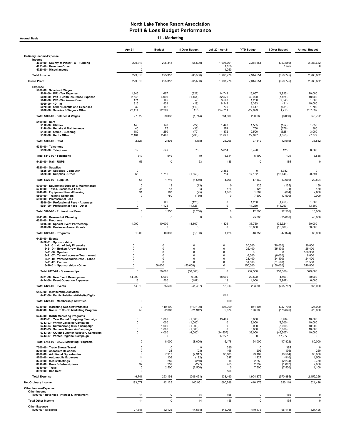Apr 21 Budget \$ Over Budget Jul '20 - Apr 21 YTD Budget \$ Over Budget Annual Budget Ordinary Income/Expense Income 4050-00 · County of Placer TOT Funding 229,818 295,318 (65,500) 1,991,001 2,344,551 (353,550) 2,983,682 4253-00 · Revenue- Other 0 1,525 0 1,525 0 4720-00 · Miscellaneous 0 1,250 Total Income 229,818 295,318 (65,500) 1,993,776 2,344,551 (350,775) 2,983,682 Gross Profit 229,818 295,318 (65,500) 1,993,776 2,344,551 (350,775) 2,983,682 Expense & Wages<br>- 1.9800-00 · Salaries & Wages<br>- 1.980-00 · P/R - Health Insurance Expense - 1.945 - 1.945 - 1.967 - 1.922) - 1.9246 - 1.925 - 1.925 - 1.925<br>- 1.990-00 · P/R - Workmans Comp - Super- 1.990 - 1.990 - 1.990 -5060-00 · 401 (k) 815 833 (19) 8,242 8,333 (91) 10,000 5070-00 · Other Benefits and Expenses 32 142 (110) 736 1,417 (681) 1,700 5000-00 · Salaries & Wages - Other 22,414 22,299 115 224,711 222,993 1,718 267,592 Total 5000-00 · Salaries & Wages 27,322 29,066 (1,744) 284,600 29,066 290,660 (6,060) 348,792 5100-00 Rent Rent Maintenance<br>1999-00 Repairs & Maintenance (157) 1,43 (168) 1,49 (179) 1,49 (158 (168 (168 (168 (168 )<br>1990 Handre - Cleaning 1,40 (189 / 180 / 180 (170 ) 1,85 (169 / 1,872 / 1,890 (188 )<br>1990 - 1,695 (1,8 Total 5100-00 · Rent 2,527 2,895 (368) 25,296 27,812 (2,515) 33,532 5310-00 · Telephone 5320-00 · Telephone 619 549 70 5,614 5,490 125 6,588 Total 5310-00 · Telephone 619 6,588 6,588 6,588 6,588 6,588 6,588 6,588 6,588 6,588 6,588 6,588 6,588 6,588 6,588 5420-00 · Mail - USPS 53 0 53 185 0 185 0 5520-00 · Supplies<br>5525-00 · Supplies- Computer 0<br>5520-00 · Supplies - Other 66 1,716 (1,650) 714 17,162 (16,448) 20,594 Total 5520-00 · Supplies 66 1,716 (1,650) 4,096 17,162 (13,066) 20,594 5700-00 Equipment Support & Maintenance (125 f) the formulation of the control of the control of the formulatio<br>5710-00 Fauses, Licenses & Fees (1) the formulation of the formulation of the control of the formulation of th 5910-00 · Professional Fees - Attorneys 0 125 (125) 0 1,250 (1,250) 1,500 Accrual Basis **11 - Marketing** 

| 5910-00 · Professional Fees - Attorneys<br>5921-00 · Professional Fees - Other                                                                                                                                                                                                   | 0<br>$\Omega$                                                                    | 125<br>1,125                                          | (125)<br>(1, 125)                                                                      | 0<br>$\Omega$                                                                   | 1,250<br>11,250                                                         | (1,250)<br>(11,250)                                                                | 1,500<br>13,500                                                     |
|----------------------------------------------------------------------------------------------------------------------------------------------------------------------------------------------------------------------------------------------------------------------------------|----------------------------------------------------------------------------------|-------------------------------------------------------|----------------------------------------------------------------------------------------|---------------------------------------------------------------------------------|-------------------------------------------------------------------------|------------------------------------------------------------------------------------|---------------------------------------------------------------------|
| Total 5900-00 · Professional Fees                                                                                                                                                                                                                                                | $\Omega$                                                                         | 1,250                                                 | (1,250)                                                                                | $\Omega$                                                                        | 12,500                                                                  | (12,500)                                                                           | 15,000                                                              |
| 5941-00 · Research & Planning<br>$6020-00 \cdot$ Programs                                                                                                                                                                                                                        | $\Omega$                                                                         | 0                                                     | $\Omega$                                                                               | $\Omega$                                                                        | 25,000                                                                  | (25,000)                                                                           | 40,000                                                              |
| 6016-00 · Special Event Partnership<br>6018-00 · Business Assoc. Grants                                                                                                                                                                                                          | 1,900<br>$\Omega$                                                                | 10,000<br>0                                           | (8, 100)<br>$\Omega$                                                                   | 1,426<br>$\Omega$                                                               | 33.750<br>15,000                                                        | (32, 324)<br>(15,000)                                                              | 50,000<br>30,000                                                    |
| Total 6020-00 · Programs                                                                                                                                                                                                                                                         | 1,900                                                                            | 10,000                                                | (8, 100)                                                                               | 1,426                                                                           | 48,750                                                                  | (47, 324)                                                                          | 80,000                                                              |
| 6420-00 · Events<br>6420-01 · Sponsorships<br>6421-01 · 4th of July Fireworks<br>6421-04 · Broken Arrow Skyrace<br>6421-06 · Spartan<br>6421-07 · Tahoe Lacrosse Tournament<br>6421-10 · WinterWonderGrass - Tahoe<br>6421-17 · Enduro<br>6420-01 · Sponsorships - Other         | $\Omega$<br>$\Omega$<br>$\Omega$<br>$\Omega$<br>$\Omega$<br>$\Omega$<br>$\Omega$ | 0<br>0<br>$\mathbf 0$<br>$\Omega$<br>O<br>O<br>50,000 | $\mathbf 0$<br>$\mathbf 0$<br>$\Omega$<br>$\Omega$<br>$\Omega$<br>$\Omega$<br>(50,000) | $\Omega$<br>$\Omega$<br>0<br>$\Omega$<br>$\Omega$<br>$\mathbf 0$<br>$\mathbf 0$ | 20,000<br>25,400<br>$\mathbf 0$<br>6,000<br>24,400<br>31.500<br>150,000 | (20,000)<br>(25, 400)<br>$\Omega$<br>(6,000)<br>(24, 400)<br>(31,500)<br>(150,000) | 20,000<br>25,400<br>180,900<br>6,000<br>24,400<br>31.500<br>240,800 |
| Total 6420-01 · Sponsorships                                                                                                                                                                                                                                                     | $\mathbf 0$                                                                      | 50,000                                                | (50,000)                                                                               | $\mathbf 0$                                                                     | 257,300                                                                 | (257, 300)                                                                         | 529,000                                                             |
| 6421-00 · New Event Development<br>6424-00 · Event Operation Expenses                                                                                                                                                                                                            | 14,000<br>13                                                                     | 5,000<br>500                                          | 9,000<br>(487)                                                                         | 18,000<br>13                                                                    | 22.500<br>4,000                                                         | (4,500)<br>(3,987)                                                                 | 30,000<br>6.000                                                     |
| Total 6420-00 · Events                                                                                                                                                                                                                                                           | 14,013                                                                           | 55,500                                                | (41, 487)                                                                              | 18,013                                                                          | 283,800                                                                 | (265, 787)                                                                         | 565,000                                                             |
| 6423-00 · Membership Activities<br>6442-00 · Public Relations/Website/Digita                                                                                                                                                                                                     | $\mathbf 0$                                                                      |                                                       |                                                                                        | 600                                                                             |                                                                         |                                                                                    |                                                                     |
| Total 6423-00 · Membership Activities                                                                                                                                                                                                                                            | $\Omega$                                                                         |                                                       |                                                                                        | 600                                                                             |                                                                         |                                                                                    |                                                                     |
| 6730-00 · Marketing Cooperative/Media<br>6742-00 · Non-NLT Co-Op Marketing Program                                                                                                                                                                                               | $\mathbf 0$<br>58                                                                | 110.190<br>22,000                                     | (110, 190)<br>(21, 942)                                                                | 503,399<br>2,374                                                                | 851.105<br>176,000                                                      | (347, 706)<br>(173, 626)                                                           | 925,000<br>220,000                                                  |
| 6743-00 · BACC Marketing Programs<br>6743-01 · Year Round Shopping Campaign<br>6743-03 · Winter Lakeside Campaign<br>6743-04 · Summerlong Music Campaign<br>6743-05 · Summer Mountain Campaign<br>6743-06 · COVID Summer Recovery Campaign<br>6743-07 · Winter Regional Campaign | $\Omega$<br>$\Omega$<br>$\Omega$<br>$\Omega$<br>$\Omega$<br>$\Omega$             | 1,000<br>1,000<br>1,000<br>1.000<br>4,000<br>0        | (1,000)<br>(1,000)<br>(1,000)<br>(1,000)<br>(4,000)<br>$\Omega$                        | 13,409<br>$\Omega$<br>$\Omega$<br>$\Omega$<br>(14, 507)<br>17,277               | 8,000<br>8,000<br>8,000<br>8.000<br>32,000<br>$\Omega$                  | 5,409<br>(8,000)<br>(8,000)<br>(8,000)<br>(46, 507)<br>17,277                      | 10,000<br>10,000<br>10,000<br>10,000<br>40,000<br>$\mathbf 0$       |
| Total 6743-00 · BACC Marketing Programs                                                                                                                                                                                                                                          | $\Omega$                                                                         | 8,000                                                 | (8,000)                                                                                | 16,178                                                                          | 64,000                                                                  | (47, 822)                                                                          | 80,000                                                              |
| 7500-00 · Trade Shows/Travel<br>8200-00 Associate Relations<br>8600-00 · Additional Opportunites<br>8700-00 · Automobile Expenses<br>8750-00 · Meals/Meetings<br>8810-00 · Dues & Subscriptions<br>8910-00 · Travel<br>8920-00 · Bad Debt                                        | 0<br>0<br>$\Omega$<br>14<br>$\mathbf 0$<br>32<br>$\mathbf 0$<br>$\Omega$         | 0<br>23<br>7,917<br>136<br>250<br>259<br>2,500        | $\Omega$<br>(23)<br>(7, 917)<br>(122)<br>(250)<br>(227)<br>(2,500)                     | 395<br>168<br>68,603<br>317<br>16<br>465<br>$\Omega$<br>556                     | $\Omega$<br>205<br>79,167<br>1,227<br>2,250<br>2,332<br>7,500           | 395<br>(36)<br>(10, 564)<br>(910)<br>(2, 234)<br>(1, 867)<br>(7,500)               | $\mathbf 0$<br>250<br>95,000<br>1,500<br>2,750<br>2,850<br>11,100   |
| <b>Total Expense</b>                                                                                                                                                                                                                                                             | 46,741                                                                           | 253.193                                               | (206, 451)                                                                             | 933,490                                                                         | 1,904,375                                                               | (970, 885)                                                                         | 2,459,256                                                           |
| <b>Net Ordinary Income</b>                                                                                                                                                                                                                                                       | 183,077                                                                          | 42,125                                                | 140,951                                                                                | 1,060,286                                                                       | 440,176                                                                 | 620,110                                                                            | 524,426                                                             |
| <b>Other Income/Expense</b><br>Other Income<br>4700-00 · Revenues- Interest & Investment                                                                                                                                                                                         | 14                                                                               | 0                                                     | 14                                                                                     | 155                                                                             | 0                                                                       | 155                                                                                | $\Omega$                                                            |
| <b>Total Other Income</b>                                                                                                                                                                                                                                                        | 14                                                                               | $\mathbf 0$                                           | 14                                                                                     | 155                                                                             | $\mathbf 0$                                                             | 155                                                                                | $\Omega$                                                            |
| <b>Other Expense</b><br>8990-00 · Allocated                                                                                                                                                                                                                                      | 27,541                                                                           | 42,125                                                | (14, 584)                                                                              | 345,065                                                                         | 440,176                                                                 | (95, 111)                                                                          | 524,426                                                             |
|                                                                                                                                                                                                                                                                                  |                                                                                  |                                                       |                                                                                        |                                                                                 |                                                                         |                                                                                    |                                                                     |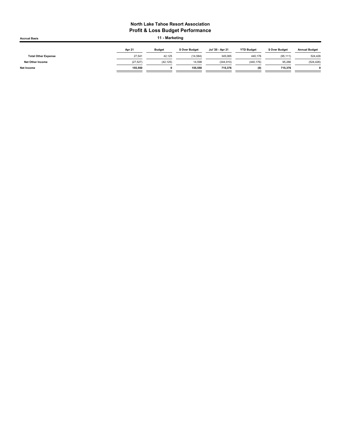| <b>Accrual Basis</b>       |           | 11 - Marketing |                |                  |                   |                |                      |  |  |
|----------------------------|-----------|----------------|----------------|------------------|-------------------|----------------|----------------------|--|--|
|                            | Apr 21    | <b>Budget</b>  | \$ Over Budget | Jul '20 - Apr 21 | <b>YTD Budget</b> | \$ Over Budget | <b>Annual Budget</b> |  |  |
| <b>Total Other Expense</b> | 27.541    | 42.125         | (14, 584)      | 345,065          | 440.176           | (95, 111)      | 524,426              |  |  |
| <b>Net Other Income</b>    | (27, 527) | (42, 125)      | 14,598         | (344.910)        | (440, 176)        | 95,266         | (524, 426)           |  |  |
| Net Income                 | 155.550   |                | 155.550        | 715.376          | (0)               | 715.376        |                      |  |  |
|                            |           |                |                |                  |                   |                |                      |  |  |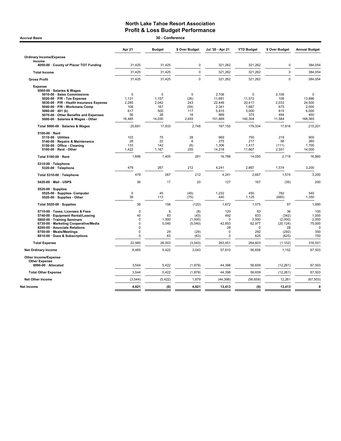| 30 - Conference<br><b>Accrual Basis</b>                                                                                                                                                                                                                                                           |                                                             |                                                             |                                                          |                                                                         |                                                           |                                                             |                                                                     |  |  |
|---------------------------------------------------------------------------------------------------------------------------------------------------------------------------------------------------------------------------------------------------------------------------------------------------|-------------------------------------------------------------|-------------------------------------------------------------|----------------------------------------------------------|-------------------------------------------------------------------------|-----------------------------------------------------------|-------------------------------------------------------------|---------------------------------------------------------------------|--|--|
|                                                                                                                                                                                                                                                                                                   | Apr 21                                                      | <b>Budget</b>                                               | \$ Over Budget                                           | Jul '20 - Apr 21                                                        | <b>YTD Budget</b>                                         | \$ Over Budget                                              | <b>Annual Budget</b>                                                |  |  |
| <b>Ordinary Income/Expense</b><br>Income                                                                                                                                                                                                                                                          |                                                             |                                                             |                                                          |                                                                         |                                                           |                                                             |                                                                     |  |  |
| 4050-00 · County of Placer TOT Funding                                                                                                                                                                                                                                                            | 31,425                                                      | 31,425                                                      | $\mathbf 0$                                              | 321,262                                                                 | 321,262                                                   | $\mathbf 0$                                                 | 384,054                                                             |  |  |
| <b>Total Income</b>                                                                                                                                                                                                                                                                               | 31,425                                                      | 31,425                                                      | $\Omega$                                                 | 321,262                                                                 | 321,262                                                   | $\Omega$                                                    | 384,054                                                             |  |  |
| <b>Gross Profit</b>                                                                                                                                                                                                                                                                               | 31,425                                                      | 31,425                                                      | $\Omega$                                                 | 321,262                                                                 | 321,262                                                   | $\Omega$                                                    | 384,054                                                             |  |  |
| <b>Expense</b><br>5000-00 · Salaries & Wages<br>5010-00 · Sales Commissions<br>5020-00 · P/R - Tax Expense<br>5030-00 · P/R - Health Insurance Expense<br>5040-00 · P/R - Workmans Comp<br>$5060-00 \cdot 401$ (k)<br>5070-00 · Other Benefits and Expenses<br>5000-00 · Salaries & Wages - Other | $\mathbf 0$<br>1,131<br>2,285<br>108<br>617<br>56<br>16,485 | $\mathbf 0$<br>1,157<br>2,042<br>167<br>500<br>38<br>14,030 | $\mathbf 0$<br>(26)<br>243<br>(59)<br>117<br>18<br>2,455 | 2.106<br>11,681<br>22,449<br>2,341<br>5,815<br>869<br>151,889           | 0<br>11,572<br>20,417<br>1,667<br>5,000<br>375<br>140,304 | 2.106<br>109<br>2,033<br>675<br>815<br>494<br>11,584        | $\mathbf 0$<br>13,886<br>24,500<br>2.000<br>6,000<br>450<br>168,365 |  |  |
| Total 5000-00 · Salaries & Wages                                                                                                                                                                                                                                                                  | 20,681                                                      | 17,933                                                      | 2,748                                                    | 197,150                                                                 | 179,334                                                   | 17,816                                                      | 215,201                                                             |  |  |
| $5100-00 \cdot$ Rent<br>$5110-00 \cdot$ Utilities<br>5140-00 · Repairs & Maintenance<br>5150-00 Office - Cleaning<br>$5100-00 \cdot$ Rent - Other                                                                                                                                                 | 103<br>28<br>133<br>1,422                                   | 75<br>22<br>142<br>1,167                                    | 28<br>6<br>(8)<br>255                                    | 969<br>275<br>1,306<br>14,218                                           | 750<br>217<br>1,417<br>11,667                             | 219<br>58<br>(111)<br>2,551                                 | 900<br>260<br>1,700<br>14,000                                       |  |  |
| Total 5100-00 · Rent                                                                                                                                                                                                                                                                              | 1,686                                                       | 1,405                                                       | 281                                                      | 16,768                                                                  | 14,050                                                    | 2,718                                                       | 16,860                                                              |  |  |
| 5310-00 · Telephone<br>5320-00 · Telephone                                                                                                                                                                                                                                                        | 479                                                         | 267                                                         | 212                                                      | 4.241                                                                   | 2.667                                                     | 1,574                                                       | 3.200                                                               |  |  |
| Total 5310-00 · Telephone                                                                                                                                                                                                                                                                         | 479                                                         | 267                                                         | 212                                                      | 4,241                                                                   | 2,667                                                     | 1,574                                                       | 3,200                                                               |  |  |
| 5420-00 · Mail - USPS                                                                                                                                                                                                                                                                             | 36                                                          | 17                                                          | 20                                                       | 127                                                                     | 167                                                       | (39)                                                        | 200                                                                 |  |  |
| $5520-00 \cdot$ Supplies<br>5525-00 · Supplies- Computer<br>5520-00 · Supplies - Other                                                                                                                                                                                                            | $\mathbf 0$<br>38                                           | 45<br>113                                                   | (45)<br>(75)                                             | 1,232<br>440                                                            | 450<br>1,125                                              | 782<br>(685)                                                | 540<br>1,350                                                        |  |  |
| Total 5520-00 · Supplies                                                                                                                                                                                                                                                                          | 38                                                          | 158                                                         | (120)                                                    | 1,672                                                                   | 1,575                                                     | 97                                                          | 1,890                                                               |  |  |
| 5710-00 · Taxes, Licenses & Fees<br>5740-00 · Equipment Rental/Leasing<br>5800-00 · Training Seminars<br>6730-00 · Marketing Cooperative/Media<br>8200-00 · Associate Relations<br>8750-00 · Meals/Meetings<br>8810-00 · Dues & Subscriptions                                                     | $\mathbf 0$<br>40<br>$\mathbf 0$<br>0<br>$\Omega$<br>0<br>0 | 8<br>83<br>1,000<br>5,040<br>29<br>63                       | (8)<br>(43)<br>(1,000)<br>(5,040)<br>(29)<br>(63)        | 120<br>492<br>$\mathbf 0$<br>42,853<br>28<br>$\mathbf 0$<br>$\mathbf 0$ | 83<br>833<br>2,000<br>62,977<br>$\Omega$<br>292<br>625    | 36<br>(342)<br>(2,000)<br>(20, 124)<br>28<br>(292)<br>(625) | 100<br>1,000<br>2,000<br>75,000<br>$\Omega$<br>350<br>750           |  |  |
| <b>Total Expense</b>                                                                                                                                                                                                                                                                              | 22,960                                                      | 26,003                                                      | (3,043)                                                  | 263,451                                                                 | 264,603                                                   | (1, 152)                                                    | 316,551                                                             |  |  |
| <b>Net Ordinary Income</b>                                                                                                                                                                                                                                                                        | 8,465                                                       | 5,422                                                       | 3,043                                                    | 57,810                                                                  | 56,658                                                    | 1,152                                                       | 67,503                                                              |  |  |
| Other Income/Expense<br><b>Other Expense</b>                                                                                                                                                                                                                                                      | 3,544                                                       | 5,422                                                       |                                                          | 44,398                                                                  | 56,659                                                    |                                                             | 67,503                                                              |  |  |
| 8990-00 · Allocated                                                                                                                                                                                                                                                                               |                                                             |                                                             | (1,879)                                                  |                                                                         |                                                           | (12, 261)                                                   |                                                                     |  |  |
| <b>Total Other Expense</b>                                                                                                                                                                                                                                                                        | 3,544                                                       | 5,422                                                       | (1, 879)                                                 | 44,398                                                                  | 56,659                                                    | (12, 261)                                                   | 67,503                                                              |  |  |
| <b>Net Other Income</b>                                                                                                                                                                                                                                                                           | (3, 544)                                                    | (5, 422)                                                    | 1,879                                                    | (44, 398)                                                               | (56, 659)                                                 | 12,261                                                      | (67, 503)                                                           |  |  |
| <b>Net Income</b>                                                                                                                                                                                                                                                                                 | 4,921                                                       | (0)                                                         | 4,921                                                    | 13,413                                                                  | (0)                                                       | 13,413                                                      | $\mathbf{0}$                                                        |  |  |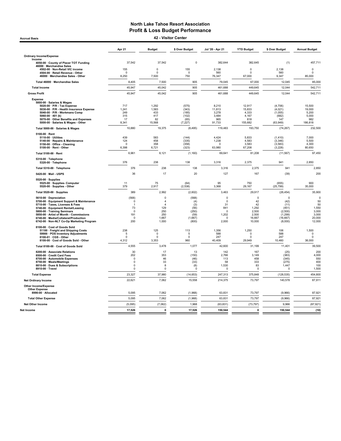Accrual Basis 42 - Visitor Center

|                                                                                  | Apr 21               | <b>Budget</b>      | \$ Over Budget   | Jul '20 - Apr 21   | <b>YTD Budget</b> | \$ Over Budget        | <b>Annual Budget</b> |
|----------------------------------------------------------------------------------|----------------------|--------------------|------------------|--------------------|-------------------|-----------------------|----------------------|
| <b>Ordinary Income/Expense</b>                                                   |                      |                    |                  |                    |                   |                       |                      |
| Income                                                                           | 37,542               | 37,542             | $\mathbf 0$      | 382,644            | 382,645           | (1)                   | 457,711              |
| 4050-00 · County of Placer TOT Funding<br>46000 · Merchandise Sales              |                      |                    |                  |                    |                   |                       |                      |
| 4502-00 · Non-Retail VIC income<br>4504-00 · Retail Revenue - Other              | 155<br>$\Omega$      | 0<br>$\Omega$      | 155<br>$\Omega$  | 2,138<br>560       | 0<br>$\Omega$     | 2,138<br>560          | 0<br>$\Omega$        |
| 46000 · Merchandise Sales - Other                                                | 8,250                | 7,500              | 750              | 76,347             | 67,000            | 9,347                 | 85,000               |
| Total 46000 · Merchandise Sales                                                  | 8,405                | 7,500              | 905              | 79,045             | 67,000            | 12,045                | 85,000               |
| <b>Total Income</b>                                                              | 45.947               | 45.042             | 905              | 461.688            | 449.645           | 12.044                | 542.711              |
| <b>Gross Profit</b>                                                              | 45,947               | 45,042             | 905              | 461,688            | 449,645           | 12,044                | 542,711              |
| <b>Expense</b>                                                                   |                      |                    |                  |                    |                   |                       |                      |
| 5000-00 · Salaries & Wages<br>5020-00 · P/R - Tax Expense                        | 717                  | 1.292              | (575)            | 8.210              | 12.917            | (4,706)               | 15,500               |
| 5030-00 · P/R - Health Insurance Expense                                         | 1,241                | 1,583              | (343)            | 11,813             | 15,833            | (4,021)               | 19,000               |
| 5040-00 · P/R - Workmans Comp<br>5060-00 $\cdot$ 401 (k)                         | 249<br>315           | 433<br>417         | (185)<br>(102)   | 3,278<br>3,484     | 4,333<br>4,167    | (1,055)<br>(682)      | 5,200<br>5,000       |
| 5070-00 Other Benefits and Expenses                                              | 17                   | 82                 | (65)             | 965                | 818               | 147                   | 982                  |
| 5000-00 · Salaries & Wages - Other                                               | 8,341                | 15,568             | (7, 227)         | 91,733             | 155,682           | (63, 949)             | 186,818              |
| Total 5000-00 · Salaries & Wages                                                 | 10,880               | 19,375             | (8, 495)         | 119,483            | 193,750           | (74, 267)             | 232,500              |
| $5100-00 \cdot$ Rent<br>5110-00 · Utilities                                      | 439                  | 583                | (144)            | 4,424              | 5,833             | (1, 410)              | 7,000                |
| 5140-00 · Repairs & Maintenance                                                  | 124                  | 458                | (335)            | 1,238              | 4,583             | (3, 346)              | 5,500                |
| 5150-00 · Office - Cleaning                                                      | $\Omega$<br>6.398    | 358<br>6,721       | (358)<br>(323)   | $\Omega$<br>63.980 | 3,583<br>67,208   | (3, 583)              | 4,300<br>80,650      |
| 5100-00 · Rent - Other                                                           |                      |                    |                  |                    |                   | (3,228)               |                      |
| Total 5100-00 · Rent                                                             | 6,961                | 8,121              | (1, 160)         | 69,641             | 81,208            | (11, 567)             | 97,450               |
| 5310-00 · Telephone<br>5320-00 · Telephone                                       | 376                  | 238                | 138              | 3,316              | 2,375             | 941                   | 2,850                |
| Total 5310-00 · Telephone                                                        | 376                  | 238                | 138              | 3,316              | 2,375             | 941                   | 2,850                |
| 5420-00 · Mail - USPS                                                            | 36                   | 17                 | 20               | 127                | 167               | (39)                  | 200                  |
| 5520-00 · Supplies                                                               |                      |                    |                  |                    |                   |                       |                      |
| 5525-00 · Supplies- Computer<br>5520-00 · Supplies - Other                       | 11<br>379            | 75<br>2,917        | (64)<br>(2, 538) | 95<br>3,368        | 750<br>29,167     | (655)<br>(25, 799)    | 900<br>35,000        |
| Total 5520-00 · Supplies                                                         | 389                  | 2,992              | (2,602)          | 3,463              | 29,917            | (26, 454)             | 35,900               |
| 5610-00 · Depreciation                                                           | (568)                | 0                  | (568)            | 0                  | $\mathbf 0$       | $\Omega$              | $\mathbf 0$          |
| 5700-00 · Equipment Support & Maintenance                                        | 0<br>$\overline{1}$  | 4<br>$\Delta$      | (4)              | 0<br>31            | 42                | (42)                  | 50                   |
| 5710-00 · Taxes, Licenses & Fees<br>5740-00 · Equipment Rental/Leasing           | 73                   | 129                | (3)<br>(56)      | 841                | 42<br>1.292       | (11)<br>(451)         | 50<br>1.550          |
| 5800-00 · Training Seminars                                                      | 0                    | 250                | (250)            | $^{\circ}$         | 2,500             | (2,500)               | 3,000                |
| 5850-00 · Artist of Month - Commissions<br>6740-00 · Media/Collateral/Production | 191<br>$\mathbf{0}$  | 250<br>1.667       | (59)<br>(1,667)  | 1,202<br>$\Omega$  | 2,500<br>16.667   | (1, 299)<br>(16, 667) | 3,000<br>20,000      |
| 6742-00 · Non-NLT Co-Op Marketing Program                                        | 200                  | 1,000              | (800)            | 2,000              | 10,000            | (8,000)               | 12,000               |
| 8100-00 · Cost of Goods Sold                                                     |                      |                    |                  |                    |                   |                       |                      |
| 51100 · Freight and Shipping Costs<br>59900 · POS Inventory Adjustments          | 238<br>5             | 125<br>$\mathsf 0$ | 113<br>5         | 1,356<br>588       | 1,250<br>0        | 106<br>588            | 1,500<br>0           |
| 8100-01 · CGS - Other                                                            | $\Omega$             | $\mathbf 0$        | $\mathbf 0$      | 247                | $\Omega$          | 247                   | $\Omega$             |
| 8100-00 · Cost of Goods Sold - Other                                             | 4,312                | 3,353              | 960              | 40,409             | 29,949            | 10,460                | 38,000               |
| Total 8100-00 · Cost of Goods Sold                                               | 4,555                | 3,478              | 1,077            | 42,600             | 31,199            | 11,401                | 39,500               |
| 8200-00 · Associate Relations<br>8500-00 · Credit Card Fees                      | 30<br>202            | 17<br>353          | 13<br>(150)      | 142<br>2,766       | 167<br>3,149      | (25)<br>(383)         | 200<br>4,000         |
| 8700-00 · Automobile Expenses                                                    | $\Omega$             | 46                 | (46)             | 113                | 458               | (345)                 | 550                  |
| 8750-00 · Meals/Meetings<br>8810-00 · Dues & Subscriptions                       | $\Omega$<br>$\Omega$ | 33<br>8            | (33)<br>(8)      | 58<br>1,530        | 333<br>83         | (275)<br>1,447        | 400<br>100           |
| 8910-00 · Travel                                                                 | $\Omega$             | $\Omega$           | $\Omega$         | $\Omega$           | $\Omega$          | $\Omega$              | 1,500                |
| <b>Total Expense</b>                                                             | 23,327               | 37,980             | (14, 653)        | 247,313            | 375,848           | (128, 535)            | 454,800              |
| <b>Net Ordinary Income</b>                                                       | 22,621               | 7,062              | 15,558           | 214,375            | 73,797            | 140,578               | 87,911               |
| <b>Other Income/Expense</b>                                                      |                      |                    |                  |                    |                   |                       |                      |
| <b>Other Expense</b><br>8990-00 · Allocated                                      | 5,095                | 7,062              | (1,968)          | 63,831             | 73,797            | (9,966)               | 87,921               |
| <b>Total Other Expense</b>                                                       | 5,095                | 7,062              | (1,968)          | 63,831             | 73,797            | (9,966)               | 87,921               |
| Net Other Income                                                                 | (5,095)              | (7,062)            | 1,968            | (63, 831)          | (73, 797)         | 9,966                 | (87, 921)            |
| Net Income                                                                       | 17,526               | 0                  | 17,526           | 150,544            | 0                 | 150,544               | (10)                 |
|                                                                                  |                      |                    |                  |                    |                   |                       |                      |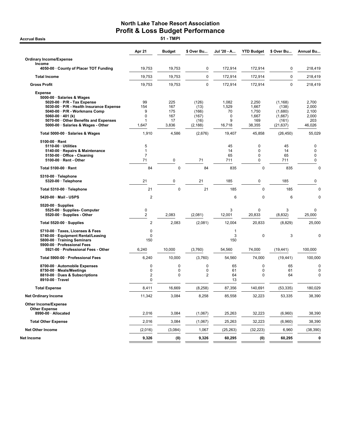|                                                                                                                                                                                                                                                                  | Apr 21                            | <b>Budget</b>                           | \$ Over Bu                                          | Jul '20 - A                              | <b>YTD Budget</b>                                        | \$ Over Bu                                                    | Annual Bu                                         |
|------------------------------------------------------------------------------------------------------------------------------------------------------------------------------------------------------------------------------------------------------------------|-----------------------------------|-----------------------------------------|-----------------------------------------------------|------------------------------------------|----------------------------------------------------------|---------------------------------------------------------------|---------------------------------------------------|
| <b>Ordinary Income/Expense</b>                                                                                                                                                                                                                                   |                                   |                                         |                                                     |                                          |                                                          |                                                               |                                                   |
| Income<br>4050-00 County of Placer TOT Funding                                                                                                                                                                                                                   | 19,753                            | 19,753                                  | 0                                                   | 172,914                                  | 172,914                                                  | 0                                                             | 218,419                                           |
| <b>Total Income</b>                                                                                                                                                                                                                                              | 19,753                            | 19,753                                  | 0                                                   | 172,914                                  | 172,914                                                  | $\mathbf 0$                                                   | 218,419                                           |
| <b>Gross Profit</b>                                                                                                                                                                                                                                              | 19,753                            | 19,753                                  | 0                                                   | 172,914                                  | 172,914                                                  | $\mathbf 0$                                                   | 218,419                                           |
| <b>Expense</b><br>5000-00 · Salaries & Wages<br>5020-00 · P/R - Tax Expense<br>5030-00 · P/R - Health Insurance Expense<br>5040-00 · P/R - Workmans Comp<br>5060-00 $\cdot$ 401 (k)<br>5070-00 Other Benefits and Expenses<br>5000-00 · Salaries & Wages - Other | 99<br>154<br>9<br>0<br>1<br>1,647 | 225<br>167<br>175<br>167<br>17<br>3,836 | (126)<br>(13)<br>(166)<br>(167)<br>(16)<br>(2, 188) | 1,082<br>1,529<br>70<br>0<br>9<br>16,718 | 2,250<br>1,667<br>1,750<br>1,667<br>169<br>38,355        | (1, 168)<br>(138)<br>(1,680)<br>(1,667)<br>(161)<br>(21, 637) | 2,700<br>2,000<br>2,100<br>2,000<br>203<br>46,026 |
| Total 5000-00 · Salaries & Wages                                                                                                                                                                                                                                 | 1,910                             | 4,586                                   | (2,676)                                             | 19,407                                   | 45,858                                                   | (26, 450)                                                     | 55,029                                            |
| 5100-00 · Rent<br>5110-00 · Utilities<br>5140-00 · Repairs & Maintenance<br>5150-00 · Office - Cleaning<br>5100-00 · Rent - Other                                                                                                                                | 5<br>$\mathbf{1}$<br>7<br>71      | 0                                       | 71                                                  | 45<br>14<br>65<br>711                    | $\mathbf 0$<br>$\mathbf 0$<br>$\mathbf 0$<br>$\mathbf 0$ | 45<br>14<br>65<br>711                                         | 0<br>$\mathbf 0$<br>0<br>$\mathbf 0$              |
| Total 5100-00 · Rent                                                                                                                                                                                                                                             | 84                                | 0                                       | 84                                                  | 835                                      | 0                                                        | 835                                                           | $\mathbf 0$                                       |
| 5310-00 · Telephone<br>5320-00 · Telephone                                                                                                                                                                                                                       | 21                                | 0                                       | 21                                                  | 185                                      | $\mathbf 0$                                              | 185                                                           | $\pmb{0}$                                         |
| Total 5310-00 · Telephone                                                                                                                                                                                                                                        | 21                                | $\mathbf 0$                             | 21                                                  | 185                                      | $\mathbf 0$                                              | 185                                                           | $\mathbf 0$                                       |
| 5420-00 · Mail - USPS                                                                                                                                                                                                                                            | 2                                 |                                         |                                                     | 6                                        | $\mathbf 0$                                              | 6                                                             | 0                                                 |
| $5520-00 \cdot$ Supplies<br>5525-00 · Supplies- Computer<br>5520-00 · Supplies - Other                                                                                                                                                                           | 0<br>2                            | 2,083                                   | (2,081)                                             | 3<br>12,001                              | $\mathbf 0$<br>20,833                                    | 3<br>(8,832)                                                  | $\mathbf 0$<br>25,000                             |
| Total 5520-00 $\cdot$ Supplies                                                                                                                                                                                                                                   | $\overline{2}$                    | 2,083                                   | (2,081)                                             | 12,004                                   | 20,833                                                   | (8,829)                                                       | 25,000                                            |
| 5710-00 · Taxes, Licenses & Fees<br>5740-00 · Equipment Rental/Leasing<br>5800-00 · Training Seminars<br>5900-00 · Professional Fees                                                                                                                             | 0<br>0<br>150                     |                                         |                                                     | $\mathbf{1}$<br>3<br>150                 | 0                                                        | 3                                                             | 0                                                 |
| 5921-00 Professional Fees - Other                                                                                                                                                                                                                                | 6,240                             | 10,000                                  | (3,760)                                             | 54,560                                   | 74,000                                                   | (19, 441)                                                     | 100,000                                           |
| Total 5900-00 · Professional Fees                                                                                                                                                                                                                                | 6,240                             | 10,000                                  | (3,760)                                             | 54,560                                   | 74,000                                                   | (19, 441)                                                     | 100,000                                           |
| 8700-00 · Automobile Expenses<br>8750-00 · Meals/Meetings<br>8810-00 · Dues & Subscriptions<br>8910-00 · Travel                                                                                                                                                  | 0<br>0<br>2<br>0                  | 0<br>0<br>0                             | 0<br>0<br>2                                         | 65<br>61<br>64<br>13                     | 0<br>$\mathbf 0$<br>$\mathbf 0$                          | 65<br>61<br>64                                                | $\mathbf 0$<br>$\mathbf 0$<br>0                   |
| <b>Total Expense</b>                                                                                                                                                                                                                                             | 8,411                             | 16,669                                  | (8,258)                                             | 87,356                                   | 140,691                                                  | (53, 335)                                                     | 180,029                                           |
| <b>Net Ordinary Income</b>                                                                                                                                                                                                                                       | 11,342                            | 3,084                                   | 8,258                                               | 85,558                                   | 32,223                                                   | 53,335                                                        | 38,390                                            |
| <b>Other Income/Expense</b><br><b>Other Expense</b><br>8990-00 · Allocated                                                                                                                                                                                       | 2,016                             | 3,084                                   | (1,067)                                             | 25,263                                   | 32,223                                                   | (6,960)                                                       | 38,390                                            |
| <b>Total Other Expense</b>                                                                                                                                                                                                                                       | 2,016                             | 3,084                                   | (1,067)                                             | 25,263                                   | 32,223                                                   | (6,960)                                                       | 38,390                                            |
| <b>Net Other Income</b>                                                                                                                                                                                                                                          | (2,016)                           | (3,084)                                 | 1,067                                               | (25, 263)                                | (32, 223)                                                | 6,960                                                         | (38, 390)                                         |
| Net Income                                                                                                                                                                                                                                                       | 9,326                             | (0)                                     | 9,326                                               | 60,295                                   | (0)                                                      | 60,295                                                        | 0                                                 |

**Accrual Basis**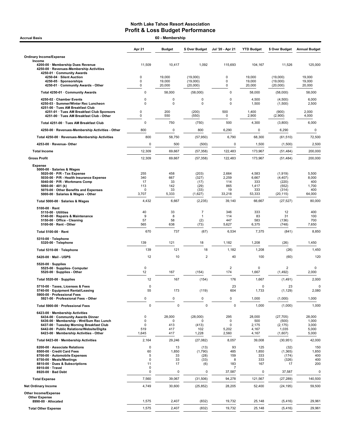| <b>Accrual Basis</b>                                                                                                                                                                                                                               |                              | 60 - Membership                  |                                        |                                 |                                          |                                                    |                                            |
|----------------------------------------------------------------------------------------------------------------------------------------------------------------------------------------------------------------------------------------------------|------------------------------|----------------------------------|----------------------------------------|---------------------------------|------------------------------------------|----------------------------------------------------|--------------------------------------------|
|                                                                                                                                                                                                                                                    | Apr 21                       | <b>Budget</b>                    | \$ Over Budget                         | Jul '20 - Apr 21                | <b>YTD Budget</b>                        | \$ Over Budget                                     | <b>Annual Budget</b>                       |
| <b>Ordinary Income/Expense</b>                                                                                                                                                                                                                     |                              |                                  |                                        |                                 |                                          |                                                    |                                            |
| Income<br>4200-00 · Membership Dues Revenue<br>4250-00 · Revenues-Membership Activities<br>4250-01 · Community Awards                                                                                                                              | 11,509                       | 10,417                           | 1,092                                  | 115,693                         | 104,167                                  | 11,526                                             | 125,000                                    |
| 4250-04 · Silent Auction                                                                                                                                                                                                                           | $\mathbf 0$                  | 19,000                           | (19,000)                               | 0                               | 19,000                                   | (19,000)                                           | 19,000                                     |
| 4250-05 · Sponsorships<br>4250-01 Community Awards - Other                                                                                                                                                                                         | $\mathbf 0$<br>0             | 19,000<br>20,000                 | (19,000)<br>(20,000)                   | 0<br>0                          | 19,000<br>20,000                         | (19,000)<br>(20,000)                               | 19,000<br>20,000                           |
| Total 4250-01 · Community Awards                                                                                                                                                                                                                   | 0                            | 58,000                           | (58,000)                               | $\pmb{0}$                       | 58,000                                   | (58,000)                                           | 58,000                                     |
| 4250-02 · Chamber Events                                                                                                                                                                                                                           | 0                            | 0                                | 0                                      | 0                               | 4,500                                    | (4,500)                                            | 6,000                                      |
| 4250-03 · Summer/Winter Rec Luncheon<br>4251-00 · Tues AM Breakfast Club                                                                                                                                                                           | 0                            | 0                                | $\mathbf 0$                            | $\mathbf 0$                     | 1,500                                    | (1,500)                                            | 2,500                                      |
| 4251-01 · Tues AM Breakfast Club Sponsors                                                                                                                                                                                                          | 0                            | 200                              | (200)                                  | 500                             | 1,400                                    | (900)                                              | 2,000                                      |
| 4251-00 · Tues AM Breakfast Club - Other                                                                                                                                                                                                           | 0                            | 550                              | (550)                                  | 0                               | 2,900                                    | (2,900)                                            | 4,000                                      |
| Total 4251-00 · Tues AM Breakfast Club                                                                                                                                                                                                             | 0                            | 750                              | (750)                                  | 500                             | 4,300                                    | (3,800)                                            | 6,000                                      |
| 4250-00 · Revenues-Membership Activities - Other                                                                                                                                                                                                   | 800                          | 0                                | 800                                    | 6,290                           | 0                                        | 6,290                                              | 0                                          |
| Total 4250-00 · Revenues-Membership Activities                                                                                                                                                                                                     | 800                          | 58,750                           | (57, 950)                              | 6,790                           | 68,300                                   | (61, 510)                                          | 72,500                                     |
| 4253-00 · Revenue- Other                                                                                                                                                                                                                           | $\mathbf 0$                  | 500                              | (500)                                  | 0                               | 1,500                                    | (1,500)                                            | 2,500                                      |
| <b>Total Income</b>                                                                                                                                                                                                                                | 12,309                       | 69,667                           | (57, 358)                              | 122,483                         | 173,967                                  | (51, 484)                                          | 200,000                                    |
| <b>Gross Profit</b>                                                                                                                                                                                                                                | 12,309                       | 69,667                           | (57, 358)                              | 122,483                         | 173,967                                  | (51, 484)                                          | 200,000                                    |
| <b>Expense</b><br>5000-00 · Salaries & Wages<br>5020-00 · P/R - Tax Expense<br>5030-00 · P/R - Health Insurance Expense                                                                                                                            | 255<br>340                   | 458<br>667                       | (203)<br>(327)                         | 2,664<br>2,259                  | 4,583<br>6,667                           | (1, 919)<br>(4, 407)                               | 5,500<br>8,000                             |
| 5040-00 · P/R - Workmans Comp                                                                                                                                                                                                                      | 17<br>113                    | 33<br>142                        | (17)                                   | 114<br>865                      | 333<br>1,417                             | (220)                                              | 400                                        |
| 5060-00 $\cdot$ 401 (k)<br>5070-00 · Other Benefits and Expenses                                                                                                                                                                                   | 0                            | 33                               | (29)<br>(33)                           | 19                              | 333                                      | (552)<br>(314)                                     | 1,700<br>400                               |
| 5000-00 · Salaries & Wages - Other                                                                                                                                                                                                                 | 3,707                        | 5,333                            | (1,627)                                | 33,218                          | 53,333                                   | (20, 115)                                          | 64,000                                     |
| Total 5000-00 · Salaries & Wages                                                                                                                                                                                                                   | 4,432                        | 6,667                            | (2, 235)                               | 39,140                          | 66,667                                   | (27, 527)                                          | 80,000                                     |
| $5100-00 \cdot$ Rent<br>$5110-00 \cdot$ Utilities                                                                                                                                                                                                  | 40                           | 33                               | $\overline{7}$                         | 346                             | 333                                      | 12                                                 | 400                                        |
| 5140-00 · Repairs & Maintenance<br>5150-00 · Office - Cleaning                                                                                                                                                                                     | 9<br>57                      | 8<br>58                          | $\overline{1}$                         | 114<br>447                      | 83<br>583                                | 31<br>(136)                                        | 100<br>700                                 |
| 5100-00 · Rent - Other                                                                                                                                                                                                                             | 565                          | 638                              | (2)<br>(73)                            | 5,627                           | 6,375                                    | (748)                                              | 7,650                                      |
| Total 5100-00 · Rent                                                                                                                                                                                                                               | 670                          | 737                              | (67)                                   | 6,534                           | 7,375                                    | (841)                                              | 8,850                                      |
| $5310-00 \cdot$ Telephone                                                                                                                                                                                                                          |                              |                                  |                                        |                                 |                                          |                                                    |                                            |
| 5320-00 · Telephone                                                                                                                                                                                                                                | 139                          | 121                              | 18                                     | 1,182                           | 1,208                                    | (26)                                               | 1,450                                      |
| Total 5310-00 · Telephone                                                                                                                                                                                                                          | 139                          | 121                              | 18                                     | 1,182                           | 1,208                                    | (26)                                               | 1,450                                      |
| 5420-00 · Mail - USPS                                                                                                                                                                                                                              | 12                           | 10                               | $\overline{2}$                         | 40                              | 100                                      | (60)                                               | 120                                        |
| $5520-00 \cdot$ Supplies<br>5525-00 · Supplies- Computer<br>5520-00 · Supplies - Other                                                                                                                                                             | $\pmb{0}$<br>12              | 167                              | (154)                                  | $\overline{2}$<br>174           | 0<br>1,667                               | $\overline{2}$<br>(1,492)                          | 0<br>2,000                                 |
| Total 5520-00 · Supplies                                                                                                                                                                                                                           | 12                           | 167                              | (154)                                  | 176                             | 1,667                                    | (1, 491)                                           | 2,000                                      |
| 5710-00 · Taxes, Licenses & Fees                                                                                                                                                                                                                   | 0<br>55                      | 173                              |                                        | 23<br>604                       | 0                                        | 23                                                 |                                            |
| 5740-00 · Equipment Rental/Leasing<br>5900-00 · Professional Fees                                                                                                                                                                                  |                              |                                  | (119)                                  |                                 | 1,733                                    | (1, 129)                                           | 2,080                                      |
| 5921-00 · Professional Fees - Other                                                                                                                                                                                                                | 0                            | 0                                | 0                                      | 0                               | 1,000                                    | (1,000)                                            | 1,000                                      |
| Total 5900-00 · Professional Fees                                                                                                                                                                                                                  | $\mathbf 0$                  | $\mathbf 0$                      | $\mathbf 0$                            | $\mathbf 0$                     | 1,000                                    | (1,000)                                            | 1,000                                      |
| 6423-00 · Membership Activities<br>6434-00 Community Awards Dinner<br>6436-00 · Membership - Wnt/Sum Rec Lunch<br>6437-00 · Tuesday Morning Breakfast Club<br>6442-00 · Public Relations/Website/Digita<br>6423-00 · Membership Activities - Other | 0<br>0<br>0<br>519<br>1,645  | 28,000<br>0<br>413<br>417<br>417 | (28,000)<br>O<br>(413)<br>102<br>1,228 | 295<br>0<br>0<br>5,202<br>2,560 | 28,000<br>500<br>2,175<br>4,167<br>4,167 | (27, 705)<br>(500)<br>(2, 175)<br>1,035<br>(1,607) | 28,000<br>1,000<br>3,000<br>5,000<br>5,000 |
| Total 6423-00 · Membership Activities                                                                                                                                                                                                              | 2,164                        | 29,246                           | (27,082)                               | 8,057                           | 39,008                                   | (30, 951)                                          | 42,000                                     |
| 8200-00 · Associate Relations                                                                                                                                                                                                                      | $\mathbf 0$                  | 13                               | (13)                                   | 93                              | 125                                      | (32)                                               | 150                                        |
| 8500-00 · Credit Card Fees<br>8700-00 · Automobile Expenses<br>8750-00 · Meals/Meetings<br>8810-00 · Dues & Subscriptions                                                                                                                          | 60<br>5<br>$\mathbf 0$<br>11 | 1,850<br>33<br>33<br>17          | (1,790)<br>(28)<br>(33)<br>(6)         | 485<br>159<br>8<br>183          | 1,850<br>333<br>333<br>167               | (1, 365)<br>(174)<br>(326)<br>17                   | 1,850<br>400<br>400<br>200                 |
| 8910-00 · Travel<br>8920-00 · Bad Debt                                                                                                                                                                                                             | $\mathbf 0$<br>$\pmb{0}$     | $\pmb{0}$                        | $\pmb{0}$                              | 7<br>37,587                     | 0                                        | 37,587                                             | 0                                          |
| <b>Total Expense</b>                                                                                                                                                                                                                               | 7,560                        | 39,067                           | (31,506)                               | 94,278                          | 121,567                                  | (27, 289)                                          | 140,500                                    |
| <b>Net Ordinary Income</b>                                                                                                                                                                                                                         | 4,749                        | 30,600                           | (25, 852)                              | 28,205                          | 52,400                                   | (24, 195)                                          | 59,500                                     |
| Other Income/Expense                                                                                                                                                                                                                               |                              |                                  |                                        |                                 |                                          |                                                    |                                            |
| <b>Other Expense</b><br>8990-00 · Allocated                                                                                                                                                                                                        | 1,575                        | 2,407                            | (832)                                  | 19,732                          | 25,148                                   | (5, 416)                                           | 29,961                                     |
| <b>Total Other Expense</b>                                                                                                                                                                                                                         | 1,575                        | 2,407                            | (832)                                  | 19,732                          | 25,148                                   | (5, 416)                                           | 29,961                                     |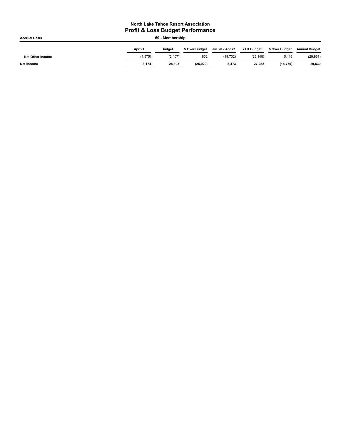| <b>Accrual Basis</b>    | 60 - Membership |               |                |                  |                   |                |                      |  |
|-------------------------|-----------------|---------------|----------------|------------------|-------------------|----------------|----------------------|--|
|                         | Apr 21          | <b>Budget</b> | \$ Over Budget | Jul '20 - Apr 21 | <b>YTD Budget</b> | \$ Over Budget | <b>Annual Budget</b> |  |
| <b>Net Other Income</b> | 1.575           | (2, 407)      | 832            | (19.732)         | (25, 148)         | 5,416          | (29, 961)            |  |
| <b>Net Income</b>       | 3.174           | 28.193        | (25, 020)      | 8,473            | 27,252            | (18.779)       | 29,539               |  |